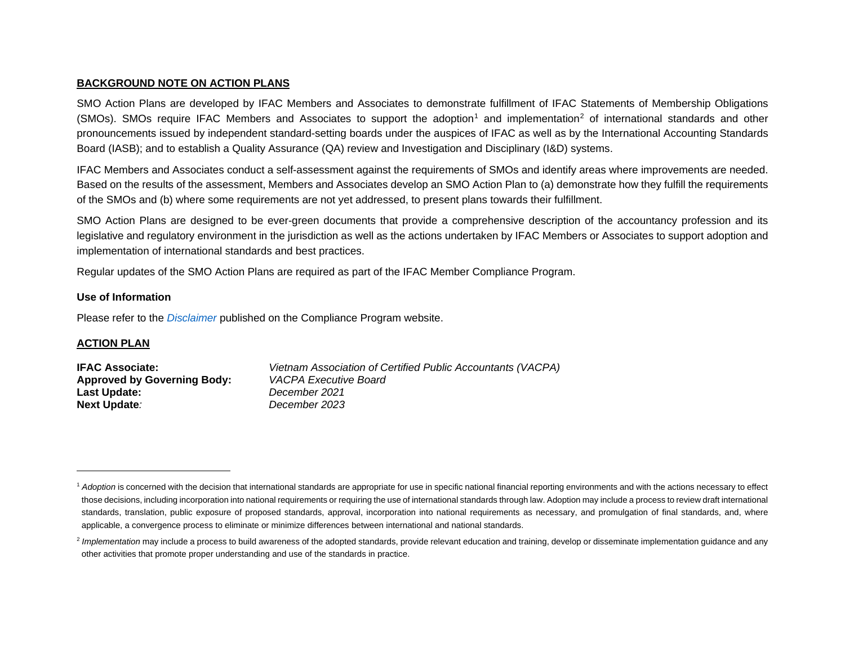### <span id="page-0-1"></span><span id="page-0-0"></span>**BACKGROUND NOTE ON ACTION PLANS**

SMO Action Plans are developed by IFAC Members and Associates to demonstrate fulfillment of IFAC Statements of Membership Obligations (SMOs). SMOs require IFAC Members and Associates to support the adoption<sup>[1](#page-0-0)</sup> and implementation<sup>[2](#page-0-1)</sup> of international standards and other pronouncements issued by independent standard-setting boards under the auspices of IFAC as well as by the International Accounting Standards Board (IASB); and to establish a Quality Assurance (QA) review and Investigation and Disciplinary (I&D) systems.

IFAC Members and Associates conduct a self-assessment against the requirements of SMOs and identify areas where improvements are needed. Based on the results of the assessment, Members and Associates develop an SMO Action Plan to (a) demonstrate how they fulfill the requirements of the SMOs and (b) where some requirements are not yet addressed, to present plans towards their fulfillment.

SMO Action Plans are designed to be ever-green documents that provide a comprehensive description of the accountancy profession and its legislative and regulatory environment in the jurisdiction as well as the actions undertaken by IFAC Members or Associates to support adoption and implementation of international standards and best practices.

Regular updates of the SMO Action Plans are required as part of the IFAC Member Compliance Program.

### **Use of Information**

Please refer to the *[Disclaimer](http://www.ifac.org/about-ifac/membership/members/disclaimer)* published on the Compliance Program website.

### **ACTION PLAN**

| <b>IFAC Associate:</b>             | Vietnam Association of Certified Public Accountants (VACPA) |
|------------------------------------|-------------------------------------------------------------|
| <b>Approved by Governing Body:</b> | VACPA Executive Board                                       |
| Last Update:                       | December 2021                                               |
| <b>Next Update:</b>                | December 2023                                               |

<sup>&</sup>lt;sup>1</sup> Adoption is concerned with the decision that international standards are appropriate for use in specific national financial reporting environments and with the actions necessary to effect those decisions, including incorporation into national requirements or requiring the use of international standards through law. Adoption may include a process to review draft international standards, translation, public exposure of proposed standards, approval, incorporation into national requirements as necessary, and promulgation of final standards, and, where applicable, a convergence process to eliminate or minimize differences between international and national standards.

<sup>&</sup>lt;sup>2</sup> Implementation may include a process to build awareness of the adopted standards, provide relevant education and training, develop or disseminate implementation guidance and any other activities that promote proper understanding and use of the standards in practice.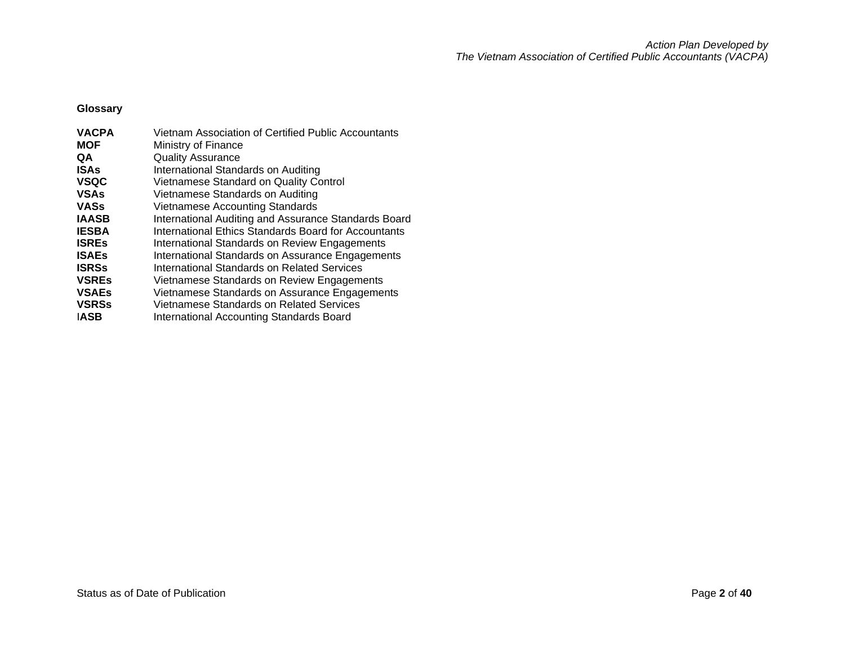**Glossary**

| <b>VACPA</b> | Vietnam Association of Certified Public Accountants  |
|--------------|------------------------------------------------------|
| <b>MOF</b>   | Ministry of Finance                                  |
| QA           | <b>Quality Assurance</b>                             |
| <b>ISAs</b>  | International Standards on Auditing                  |
| <b>VSQC</b>  | Vietnamese Standard on Quality Control               |
| <b>VSAs</b>  | Vietnamese Standards on Auditing                     |
| <b>VASs</b>  | Vietnamese Accounting Standards                      |
| <b>IAASB</b> | International Auditing and Assurance Standards Board |
| <b>IESBA</b> | International Ethics Standards Board for Accountants |
| <b>ISRES</b> | International Standards on Review Engagements        |
| <b>ISAEs</b> | International Standards on Assurance Engagements     |
| <b>ISRSs</b> | International Standards on Related Services          |
| <b>VSREs</b> | Vietnamese Standards on Review Engagements           |
| <b>VSAEs</b> | Vietnamese Standards on Assurance Engagements        |
| <b>VSRSs</b> | <b>Vietnamese Standards on Related Services</b>      |
| <b>IASB</b>  | International Accounting Standards Board             |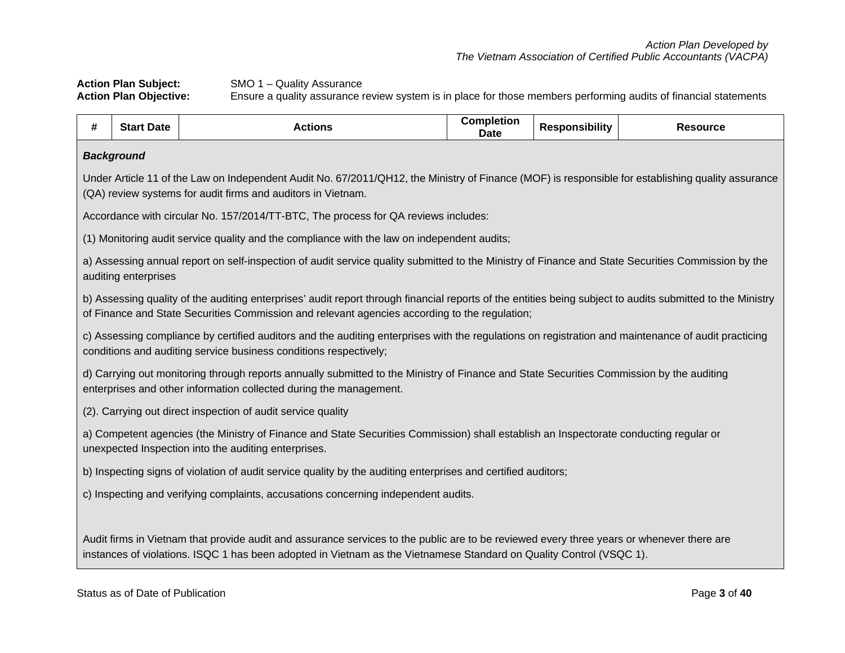**Action Plan Subject:** SMO 1 – Quality Assurance<br>**Action Plan Objective:** Ensure a quality assurance in **Action Plan Objective:** Ensure a quality assurance review system is in place for those members performing audits of financial statements

| # | <b>Start Date</b>                                                                                                                                                                             | <b>Actions</b>                                                                                                                                                                                                                                                   | <b>Completion</b><br>Date | <b>Responsibility</b> | <b>Resource</b> |  |  |
|---|-----------------------------------------------------------------------------------------------------------------------------------------------------------------------------------------------|------------------------------------------------------------------------------------------------------------------------------------------------------------------------------------------------------------------------------------------------------------------|---------------------------|-----------------------|-----------------|--|--|
|   | <b>Background</b>                                                                                                                                                                             |                                                                                                                                                                                                                                                                  |                           |                       |                 |  |  |
|   |                                                                                                                                                                                               | Under Article 11 of the Law on Independent Audit No. 67/2011/QH12, the Ministry of Finance (MOF) is responsible for establishing quality assurance<br>(QA) review systems for audit firms and auditors in Vietnam.                                               |                           |                       |                 |  |  |
|   |                                                                                                                                                                                               | Accordance with circular No. 157/2014/TT-BTC, The process for QA reviews includes:                                                                                                                                                                               |                           |                       |                 |  |  |
|   |                                                                                                                                                                                               | (1) Monitoring audit service quality and the compliance with the law on independent audits;                                                                                                                                                                      |                           |                       |                 |  |  |
|   | auditing enterprises                                                                                                                                                                          | a) Assessing annual report on self-inspection of audit service quality submitted to the Ministry of Finance and State Securities Commission by the                                                                                                               |                           |                       |                 |  |  |
|   |                                                                                                                                                                                               | b) Assessing quality of the auditing enterprises' audit report through financial reports of the entities being subject to audits submitted to the Ministry<br>of Finance and State Securities Commission and relevant agencies according to the regulation;      |                           |                       |                 |  |  |
|   |                                                                                                                                                                                               | c) Assessing compliance by certified auditors and the auditing enterprises with the regulations on registration and maintenance of audit practicing<br>conditions and auditing service business conditions respectively;                                         |                           |                       |                 |  |  |
|   |                                                                                                                                                                                               | d) Carrying out monitoring through reports annually submitted to the Ministry of Finance and State Securities Commission by the auditing<br>enterprises and other information collected during the management.                                                   |                           |                       |                 |  |  |
|   |                                                                                                                                                                                               | (2). Carrying out direct inspection of audit service quality                                                                                                                                                                                                     |                           |                       |                 |  |  |
|   | a) Competent agencies (the Ministry of Finance and State Securities Commission) shall establish an Inspectorate conducting regular or<br>unexpected Inspection into the auditing enterprises. |                                                                                                                                                                                                                                                                  |                           |                       |                 |  |  |
|   |                                                                                                                                                                                               | b) Inspecting signs of violation of audit service quality by the auditing enterprises and certified auditors;                                                                                                                                                    |                           |                       |                 |  |  |
|   | c) Inspecting and verifying complaints, accusations concerning independent audits.                                                                                                            |                                                                                                                                                                                                                                                                  |                           |                       |                 |  |  |
|   |                                                                                                                                                                                               |                                                                                                                                                                                                                                                                  |                           |                       |                 |  |  |
|   |                                                                                                                                                                                               | Audit firms in Vietnam that provide audit and assurance services to the public are to be reviewed every three years or whenever there are<br>instances of violations. ISQC 1 has been adopted in Vietnam as the Vietnamese Standard on Quality Control (VSQC 1). |                           |                       |                 |  |  |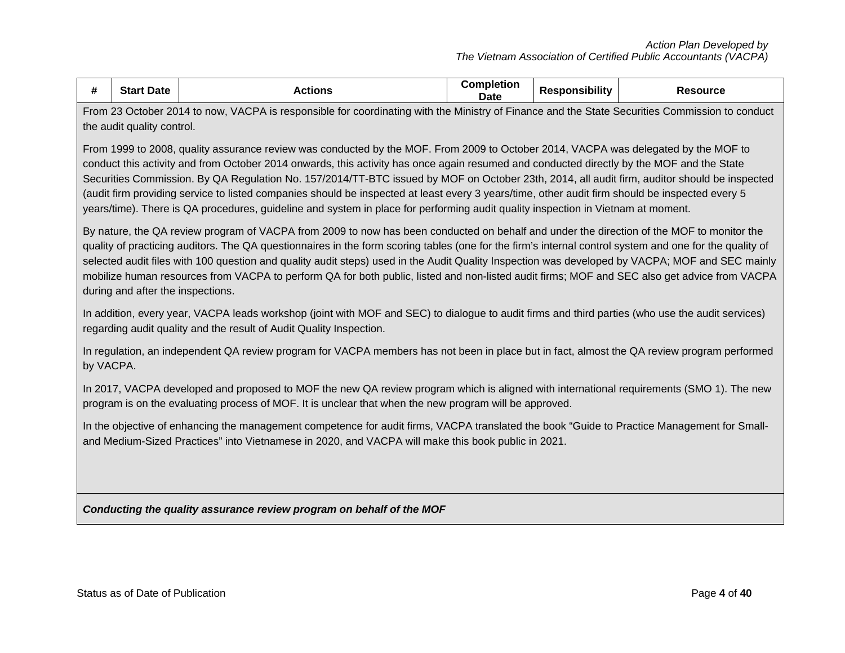| #                                                                                                                                                                                                                                                                                                                                                                                                                                                                                                                                                                                                                                                                                                                                                                                                                                                                                                                                                                                                                              | <b>Start Date</b>                                                                                                                                                                                                                                 | <b>Actions</b>                                                                                                                                                                                                                                                                                  | <b>Completion</b><br><b>Date</b> | <b>Responsibility</b> | <b>Resource</b> |  |
|--------------------------------------------------------------------------------------------------------------------------------------------------------------------------------------------------------------------------------------------------------------------------------------------------------------------------------------------------------------------------------------------------------------------------------------------------------------------------------------------------------------------------------------------------------------------------------------------------------------------------------------------------------------------------------------------------------------------------------------------------------------------------------------------------------------------------------------------------------------------------------------------------------------------------------------------------------------------------------------------------------------------------------|---------------------------------------------------------------------------------------------------------------------------------------------------------------------------------------------------------------------------------------------------|-------------------------------------------------------------------------------------------------------------------------------------------------------------------------------------------------------------------------------------------------------------------------------------------------|----------------------------------|-----------------------|-----------------|--|
|                                                                                                                                                                                                                                                                                                                                                                                                                                                                                                                                                                                                                                                                                                                                                                                                                                                                                                                                                                                                                                | the audit quality control.                                                                                                                                                                                                                        | From 23 October 2014 to now, VACPA is responsible for coordinating with the Ministry of Finance and the State Securities Commission to conduct                                                                                                                                                  |                                  |                       |                 |  |
| From 1999 to 2008, quality assurance review was conducted by the MOF. From 2009 to October 2014, VACPA was delegated by the MOF to<br>conduct this activity and from October 2014 onwards, this activity has once again resumed and conducted directly by the MOF and the State<br>Securities Commission. By QA Regulation No. 157/2014/TT-BTC issued by MOF on October 23th, 2014, all audit firm, auditor should be inspected<br>(audit firm providing service to listed companies should be inspected at least every 3 years/time, other audit firm should be inspected every 5<br>years/time). There is QA procedures, guideline and system in place for performing audit quality inspection in Vietnam at moment.<br>By nature, the QA review program of VACPA from 2009 to now has been conducted on behalf and under the direction of the MOF to monitor the<br>quality of practicing auditors. The QA questionnaires in the form scoring tables (one for the firm's internal control system and one for the quality of |                                                                                                                                                                                                                                                   |                                                                                                                                                                                                                                                                                                 |                                  |                       |                 |  |
|                                                                                                                                                                                                                                                                                                                                                                                                                                                                                                                                                                                                                                                                                                                                                                                                                                                                                                                                                                                                                                | during and after the inspections.                                                                                                                                                                                                                 | selected audit files with 100 question and quality audit steps) used in the Audit Quality Inspection was developed by VACPA; MOF and SEC mainly<br>mobilize human resources from VACPA to perform QA for both public, listed and non-listed audit firms; MOF and SEC also get advice from VACPA |                                  |                       |                 |  |
|                                                                                                                                                                                                                                                                                                                                                                                                                                                                                                                                                                                                                                                                                                                                                                                                                                                                                                                                                                                                                                |                                                                                                                                                                                                                                                   | In addition, every year, VACPA leads workshop (joint with MOF and SEC) to dialogue to audit firms and third parties (who use the audit services)<br>regarding audit quality and the result of Audit Quality Inspection.                                                                         |                                  |                       |                 |  |
| by VACPA.                                                                                                                                                                                                                                                                                                                                                                                                                                                                                                                                                                                                                                                                                                                                                                                                                                                                                                                                                                                                                      |                                                                                                                                                                                                                                                   | In regulation, an independent QA review program for VACPA members has not been in place but in fact, almost the QA review program performed                                                                                                                                                     |                                  |                       |                 |  |
|                                                                                                                                                                                                                                                                                                                                                                                                                                                                                                                                                                                                                                                                                                                                                                                                                                                                                                                                                                                                                                |                                                                                                                                                                                                                                                   | In 2017, VACPA developed and proposed to MOF the new QA review program which is aligned with international requirements (SMO 1). The new<br>program is on the evaluating process of MOF. It is unclear that when the new program will be approved.                                              |                                  |                       |                 |  |
|                                                                                                                                                                                                                                                                                                                                                                                                                                                                                                                                                                                                                                                                                                                                                                                                                                                                                                                                                                                                                                | In the objective of enhancing the management competence for audit firms, VACPA translated the book "Guide to Practice Management for Small-<br>and Medium-Sized Practices" into Vietnamese in 2020, and VACPA will make this book public in 2021. |                                                                                                                                                                                                                                                                                                 |                                  |                       |                 |  |
|                                                                                                                                                                                                                                                                                                                                                                                                                                                                                                                                                                                                                                                                                                                                                                                                                                                                                                                                                                                                                                |                                                                                                                                                                                                                                                   | Conducting the quality assurance review program on behalf of the MOF                                                                                                                                                                                                                            |                                  |                       |                 |  |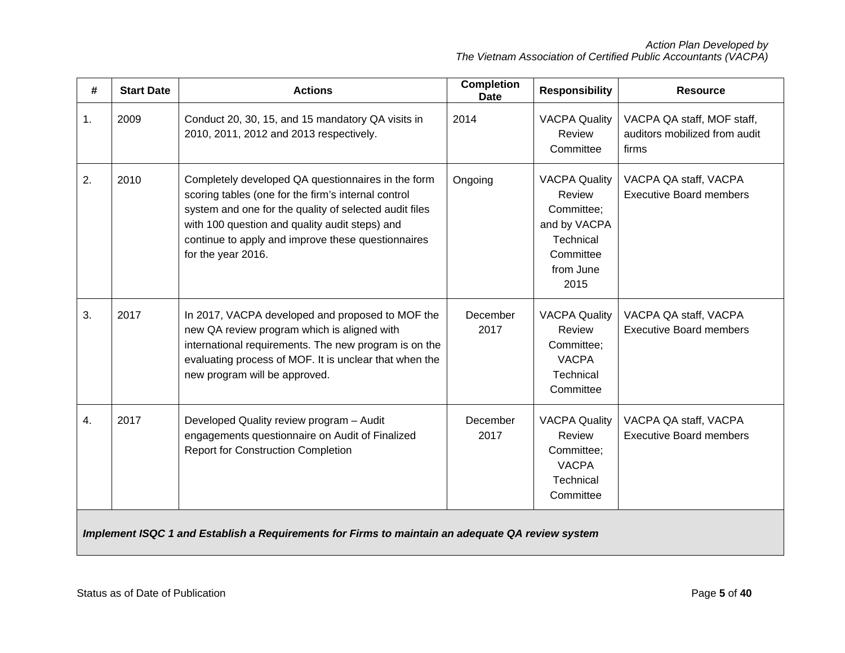| #  | <b>Start Date</b> | <b>Actions</b>                                                                                                                                                                                                                                                                                    | <b>Completion</b><br><b>Date</b> | <b>Responsibility</b>                                                                                       | <b>Resource</b>                                                      |
|----|-------------------|---------------------------------------------------------------------------------------------------------------------------------------------------------------------------------------------------------------------------------------------------------------------------------------------------|----------------------------------|-------------------------------------------------------------------------------------------------------------|----------------------------------------------------------------------|
| 1. | 2009              | Conduct 20, 30, 15, and 15 mandatory QA visits in<br>2010, 2011, 2012 and 2013 respectively.                                                                                                                                                                                                      | 2014                             | <b>VACPA Quality</b><br>Review<br>Committee                                                                 | VACPA QA staff, MOF staff,<br>auditors mobilized from audit<br>firms |
| 2. | 2010              | Completely developed QA questionnaires in the form<br>scoring tables (one for the firm's internal control<br>system and one for the quality of selected audit files<br>with 100 question and quality audit steps) and<br>continue to apply and improve these questionnaires<br>for the year 2016. | Ongoing                          | <b>VACPA Quality</b><br>Review<br>Committee;<br>and by VACPA<br>Technical<br>Committee<br>from June<br>2015 | VACPA QA staff, VACPA<br><b>Executive Board members</b>              |
| 3. | 2017              | In 2017, VACPA developed and proposed to MOF the<br>new QA review program which is aligned with<br>international requirements. The new program is on the<br>evaluating process of MOF. It is unclear that when the<br>new program will be approved.                                               | December<br>2017                 | <b>VACPA Quality</b><br>Review<br>Committee;<br><b>VACPA</b><br>Technical<br>Committee                      | VACPA QA staff, VACPA<br><b>Executive Board members</b>              |
| 4. | 2017              | Developed Quality review program - Audit<br>engagements questionnaire on Audit of Finalized<br><b>Report for Construction Completion</b>                                                                                                                                                          | December<br>2017                 | <b>VACPA Quality</b><br>Review<br>Committee;<br><b>VACPA</b><br>Technical<br>Committee                      | VACPA QA staff, VACPA<br><b>Executive Board members</b>              |
|    |                   | Implement ISQC 1 and Establish a Requirements for Firms to maintain an adequate QA review system                                                                                                                                                                                                  |                                  |                                                                                                             |                                                                      |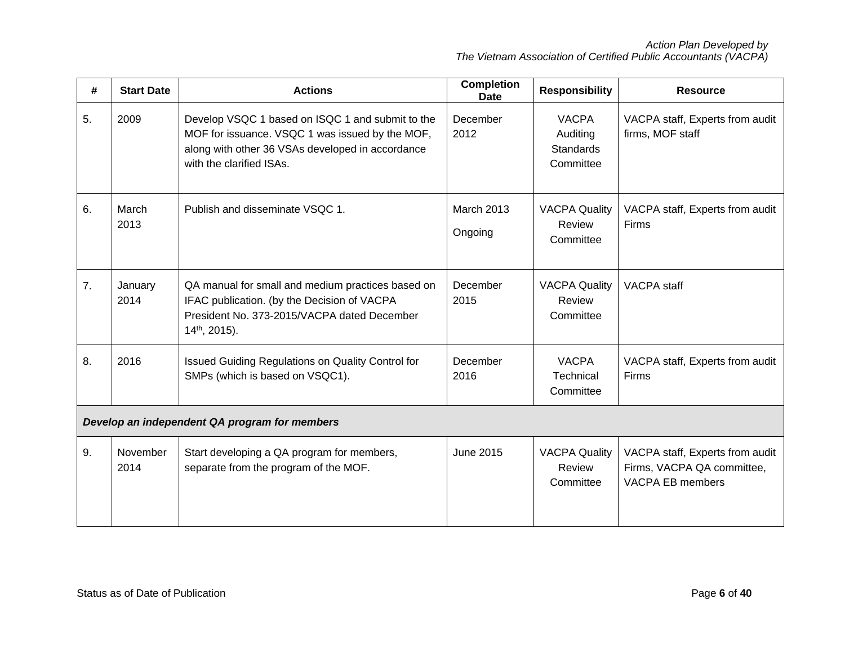| #                                             | <b>Start Date</b> | <b>Actions</b>                                                                                                                                                                      | <b>Completion</b><br><b>Date</b> | <b>Responsibility</b>                              | <b>Resource</b>                                                                          |  |
|-----------------------------------------------|-------------------|-------------------------------------------------------------------------------------------------------------------------------------------------------------------------------------|----------------------------------|----------------------------------------------------|------------------------------------------------------------------------------------------|--|
| 5.                                            | 2009              | Develop VSQC 1 based on ISQC 1 and submit to the<br>MOF for issuance. VSQC 1 was issued by the MOF,<br>along with other 36 VSAs developed in accordance<br>with the clarified ISAs. | December<br>2012                 | <b>VACPA</b><br>Auditing<br>Standards<br>Committee | VACPA staff, Experts from audit<br>firms, MOF staff                                      |  |
| 6.                                            | March<br>2013     | Publish and disseminate VSQC 1.                                                                                                                                                     | <b>March 2013</b><br>Ongoing     | <b>VACPA Quality</b><br>Review<br>Committee        | VACPA staff, Experts from audit<br><b>Firms</b>                                          |  |
| 7 <sub>1</sub>                                | January<br>2014   | QA manual for small and medium practices based on<br>IFAC publication. (by the Decision of VACPA<br>President No. 373-2015/VACPA dated December<br>$14th$ , 2015).                  | December<br>2015                 | <b>VACPA Quality</b><br>Review<br>Committee        | <b>VACPA</b> staff                                                                       |  |
| 8.                                            | 2016              | Issued Guiding Regulations on Quality Control for<br>SMPs (which is based on VSQC1).                                                                                                | December<br>2016                 | <b>VACPA</b><br><b>Technical</b><br>Committee      | VACPA staff, Experts from audit<br>Firms                                                 |  |
| Develop an independent QA program for members |                   |                                                                                                                                                                                     |                                  |                                                    |                                                                                          |  |
| 9.                                            | November<br>2014  | Start developing a QA program for members,<br>separate from the program of the MOF.                                                                                                 | <b>June 2015</b>                 | <b>VACPA Quality</b><br>Review<br>Committee        | VACPA staff, Experts from audit<br>Firms, VACPA QA committee,<br><b>VACPA EB members</b> |  |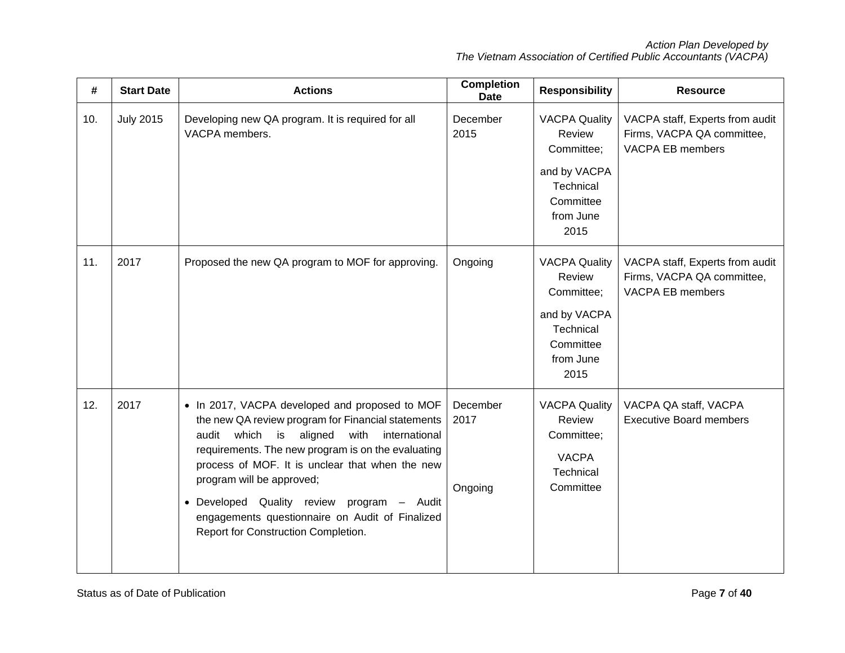| #   | <b>Start Date</b> | <b>Actions</b>                                                                                                                                                                                                                                                                                                                                                                                                                                 | <b>Completion</b><br><b>Date</b> | <b>Responsibility</b>                                                                                       | <b>Resource</b>                                                                          |
|-----|-------------------|------------------------------------------------------------------------------------------------------------------------------------------------------------------------------------------------------------------------------------------------------------------------------------------------------------------------------------------------------------------------------------------------------------------------------------------------|----------------------------------|-------------------------------------------------------------------------------------------------------------|------------------------------------------------------------------------------------------|
| 10. | <b>July 2015</b>  | Developing new QA program. It is required for all<br>VACPA members.                                                                                                                                                                                                                                                                                                                                                                            | December<br>2015                 | <b>VACPA Quality</b><br>Review<br>Committee;<br>and by VACPA<br>Technical<br>Committee<br>from June<br>2015 | VACPA staff, Experts from audit<br>Firms, VACPA QA committee,<br><b>VACPA EB members</b> |
| 11. | 2017              | Proposed the new QA program to MOF for approving.                                                                                                                                                                                                                                                                                                                                                                                              | Ongoing                          | <b>VACPA Quality</b><br>Review<br>Committee;<br>and by VACPA<br>Technical<br>Committee<br>from June<br>2015 | VACPA staff, Experts from audit<br>Firms, VACPA QA committee,<br><b>VACPA EB members</b> |
| 12. | 2017              | • In 2017, VACPA developed and proposed to MOF<br>the new QA review program for Financial statements<br>which<br>is<br>aligned<br>audit<br>with<br>international<br>requirements. The new program is on the evaluating<br>process of MOF. It is unclear that when the new<br>program will be approved;<br>· Developed Quality review program - Audit<br>engagements questionnaire on Audit of Finalized<br>Report for Construction Completion. | December<br>2017<br>Ongoing      | <b>VACPA Quality</b><br>Review<br>Committee;<br><b>VACPA</b><br>Technical<br>Committee                      | VACPA QA staff, VACPA<br><b>Executive Board members</b>                                  |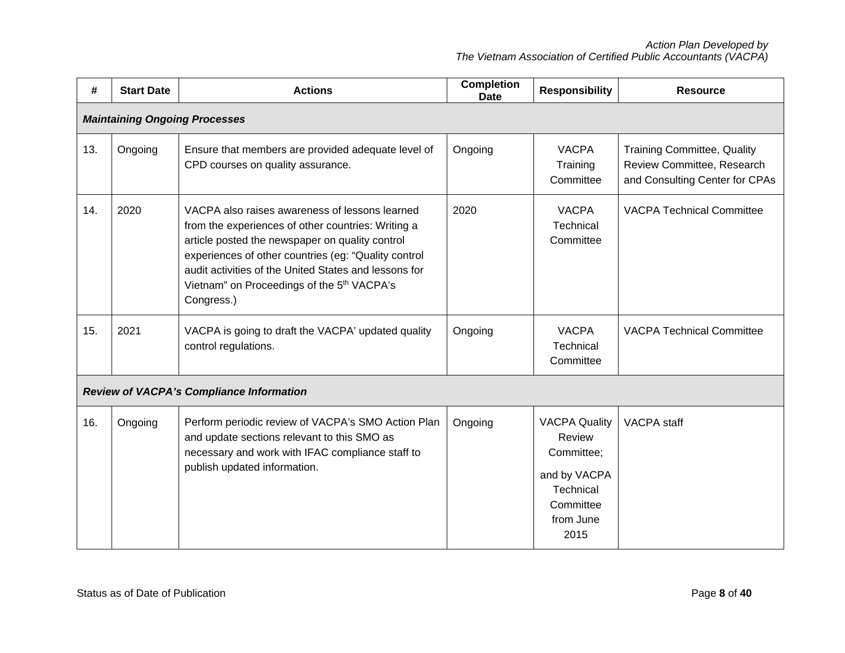| #   | <b>Start Date</b>                    | <b>Actions</b>                                                                                                                                                                                                                                                                                                                                   | <b>Completion</b><br><b>Date</b> | <b>Responsibility</b>                                                                                       | <b>Resource</b>                                                                                    |  |  |  |
|-----|--------------------------------------|--------------------------------------------------------------------------------------------------------------------------------------------------------------------------------------------------------------------------------------------------------------------------------------------------------------------------------------------------|----------------------------------|-------------------------------------------------------------------------------------------------------------|----------------------------------------------------------------------------------------------------|--|--|--|
|     | <b>Maintaining Ongoing Processes</b> |                                                                                                                                                                                                                                                                                                                                                  |                                  |                                                                                                             |                                                                                                    |  |  |  |
| 13. | Ongoing                              | Ensure that members are provided adequate level of<br>CPD courses on quality assurance.                                                                                                                                                                                                                                                          | Ongoing                          | <b>VACPA</b><br>Training<br>Committee                                                                       | <b>Training Committee, Quality</b><br>Review Committee, Research<br>and Consulting Center for CPAs |  |  |  |
| 14. | 2020                                 | VACPA also raises awareness of lessons learned<br>from the experiences of other countries: Writing a<br>article posted the newspaper on quality control<br>experiences of other countries (eg: "Quality control<br>audit activities of the United States and lessons for<br>Vietnam" on Proceedings of the 5 <sup>th</sup> VACPA's<br>Congress.) | 2020                             | <b>VACPA</b><br>Technical<br>Committee                                                                      | <b>VACPA Technical Committee</b>                                                                   |  |  |  |
| 15. | 2021                                 | VACPA is going to draft the VACPA' updated quality<br>control regulations.                                                                                                                                                                                                                                                                       | Ongoing                          | <b>VACPA</b><br><b>Technical</b><br>Committee                                                               | <b>VACPA Technical Committee</b>                                                                   |  |  |  |
|     |                                      | <b>Review of VACPA's Compliance Information</b>                                                                                                                                                                                                                                                                                                  |                                  |                                                                                                             |                                                                                                    |  |  |  |
| 16. | Ongoing                              | Perform periodic review of VACPA's SMO Action Plan<br>and update sections relevant to this SMO as<br>necessary and work with IFAC compliance staff to<br>publish updated information.                                                                                                                                                            | Ongoing                          | <b>VACPA Quality</b><br>Review<br>Committee;<br>and by VACPA<br>Technical<br>Committee<br>from June<br>2015 | <b>VACPA</b> staff                                                                                 |  |  |  |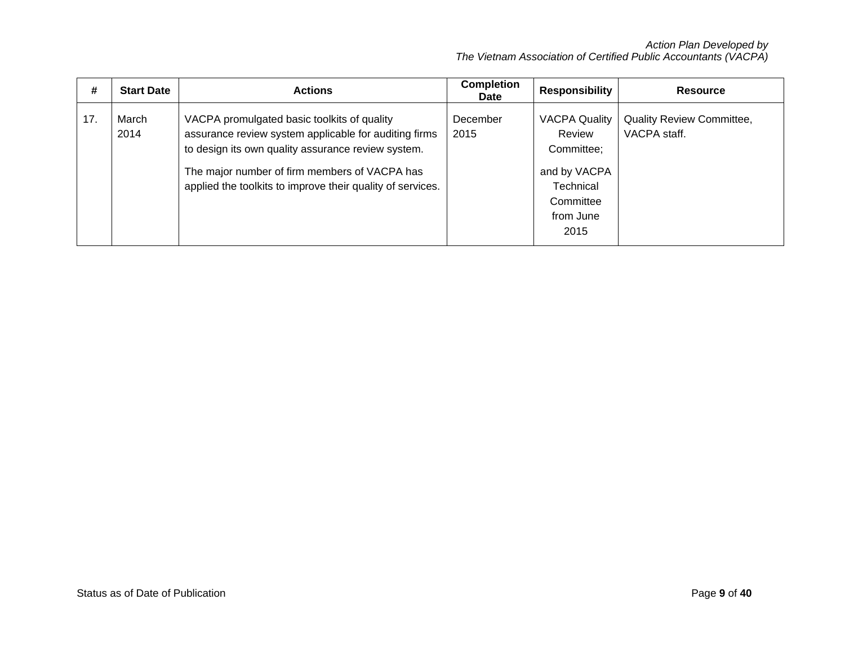| #   | <b>Start Date</b> | <b>Actions</b>                                                                                                                                                                                                                                                            | <b>Completion</b><br><b>Date</b> | <b>Responsibility</b>                                                                                              | <b>Resource</b>                           |
|-----|-------------------|---------------------------------------------------------------------------------------------------------------------------------------------------------------------------------------------------------------------------------------------------------------------------|----------------------------------|--------------------------------------------------------------------------------------------------------------------|-------------------------------------------|
| 17. | March<br>2014     | VACPA promulgated basic toolkits of quality<br>assurance review system applicable for auditing firms<br>to design its own quality assurance review system.<br>The major number of firm members of VACPA has<br>applied the toolkits to improve their quality of services. | December<br>2015                 | <b>VACPA Quality</b><br>Review<br>Committee;<br>and by VACPA<br><b>Technical</b><br>Committee<br>from June<br>2015 | Quality Review Committee,<br>VACPA staff. |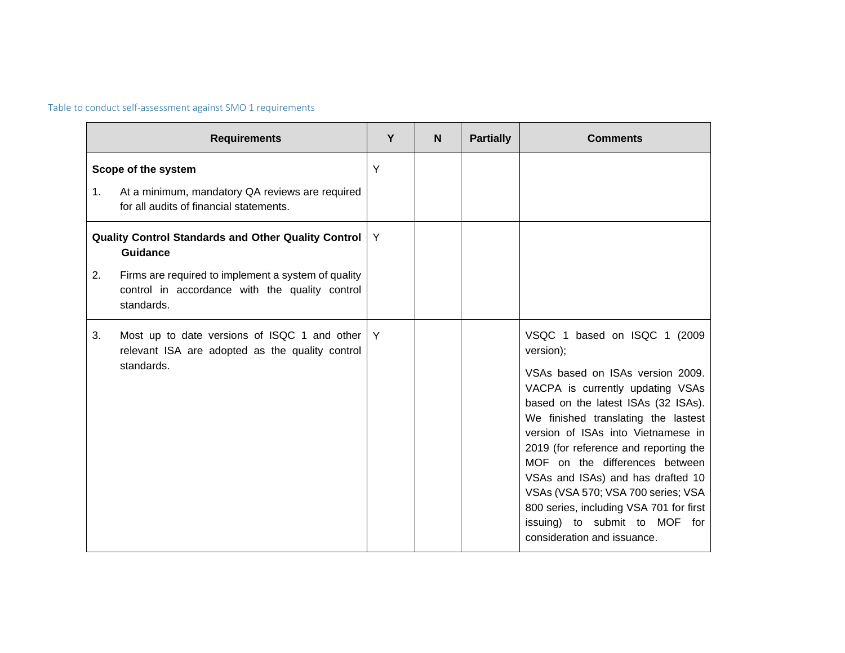# Table to conduct self-assessment against SMO 1 requirements

|                                                                                                                                                                                                       | <b>Requirements</b>                                                                                               | Y | N | <b>Partially</b> | <b>Comments</b>                                                                                                                                                                                                                                                                                                                                                                                                                                                                                         |
|-------------------------------------------------------------------------------------------------------------------------------------------------------------------------------------------------------|-------------------------------------------------------------------------------------------------------------------|---|---|------------------|---------------------------------------------------------------------------------------------------------------------------------------------------------------------------------------------------------------------------------------------------------------------------------------------------------------------------------------------------------------------------------------------------------------------------------------------------------------------------------------------------------|
| 1.                                                                                                                                                                                                    | Scope of the system<br>At a minimum, mandatory QA reviews are required<br>for all audits of financial statements. | Y |   |                  |                                                                                                                                                                                                                                                                                                                                                                                                                                                                                                         |
| Quality Control Standards and Other Quality Control  <br><b>Guidance</b><br>Firms are required to implement a system of quality<br>2.<br>control in accordance with the quality control<br>standards. |                                                                                                                   | Y |   |                  |                                                                                                                                                                                                                                                                                                                                                                                                                                                                                                         |
| 3.                                                                                                                                                                                                    | Most up to date versions of ISQC 1 and other<br>relevant ISA are adopted as the quality control<br>standards.     | Y |   |                  | VSQC 1 based on ISQC 1 (2009)<br>version);<br>VSAs based on ISAs version 2009.<br>VACPA is currently updating VSAs<br>based on the latest ISAs (32 ISAs).<br>We finished translating the lastest<br>version of ISAs into Vietnamese in<br>2019 (for reference and reporting the<br>MOF on the differences between<br>VSAs and ISAs) and has drafted 10<br>VSAs (VSA 570; VSA 700 series; VSA<br>800 series, including VSA 701 for first<br>issuing) to submit to MOF for<br>consideration and issuance. |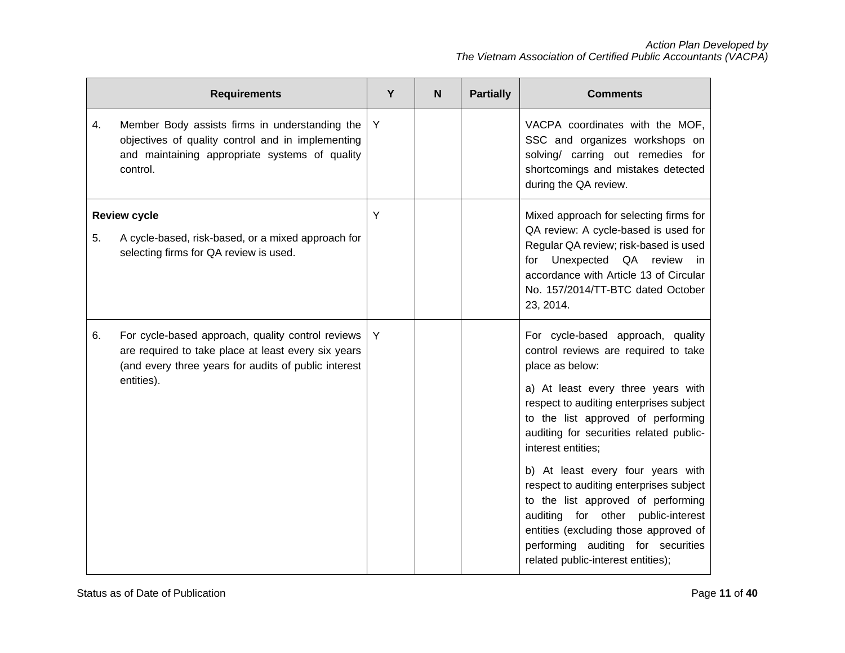|    | <b>Requirements</b>                                                                                                                                                            | Y | N | <b>Partially</b> | <b>Comments</b>                                                                                                                                                                                                                                                                                                                                                                                                                                                                                                                                                          |
|----|--------------------------------------------------------------------------------------------------------------------------------------------------------------------------------|---|---|------------------|--------------------------------------------------------------------------------------------------------------------------------------------------------------------------------------------------------------------------------------------------------------------------------------------------------------------------------------------------------------------------------------------------------------------------------------------------------------------------------------------------------------------------------------------------------------------------|
| 4. | Member Body assists firms in understanding the<br>objectives of quality control and in implementing<br>and maintaining appropriate systems of quality<br>control.              | Y |   |                  | VACPA coordinates with the MOF,<br>SSC and organizes workshops on<br>solving/ carring out remedies for<br>shortcomings and mistakes detected<br>during the QA review.                                                                                                                                                                                                                                                                                                                                                                                                    |
| 5. | <b>Review cycle</b><br>A cycle-based, risk-based, or a mixed approach for<br>selecting firms for QA review is used.                                                            | Y |   |                  | Mixed approach for selecting firms for<br>QA review: A cycle-based is used for<br>Regular QA review; risk-based is used<br>Unexpected QA<br>review<br>for<br>in.<br>accordance with Article 13 of Circular<br>No. 157/2014/TT-BTC dated October<br>23, 2014.                                                                                                                                                                                                                                                                                                             |
| 6. | For cycle-based approach, quality control reviews<br>are required to take place at least every six years<br>(and every three years for audits of public interest<br>entities). | Y |   |                  | For cycle-based approach, quality<br>control reviews are required to take<br>place as below:<br>a) At least every three years with<br>respect to auditing enterprises subject<br>to the list approved of performing<br>auditing for securities related public-<br>interest entities;<br>b) At least every four years with<br>respect to auditing enterprises subject<br>to the list approved of performing<br>auditing for other<br>public-interest<br>entities (excluding those approved of<br>performing auditing for securities<br>related public-interest entities); |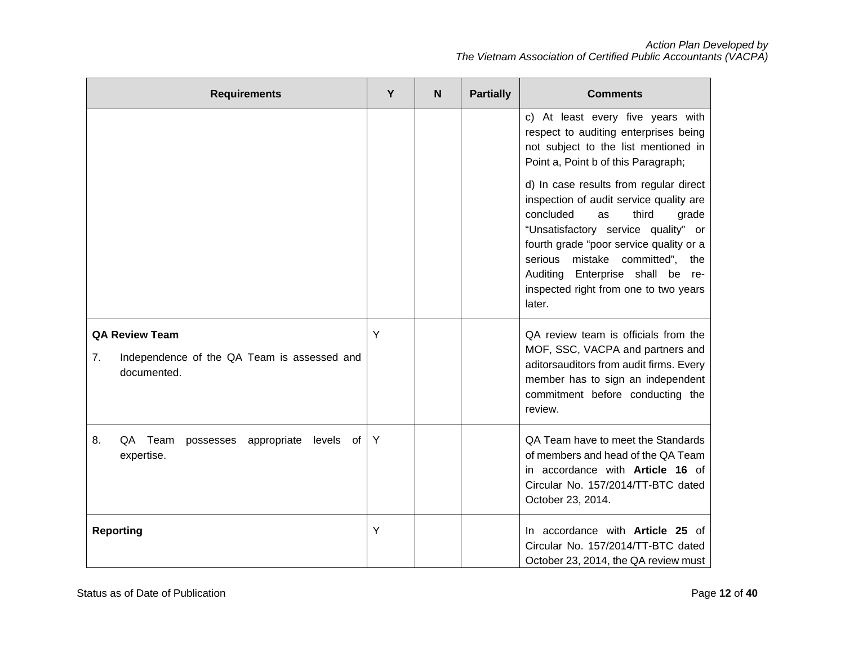| <b>Requirements</b>                                                                       | Υ | N | <b>Partially</b> | <b>Comments</b>                                                                                                                                                                                                                                                                                                                                                                                                                                                                                 |
|-------------------------------------------------------------------------------------------|---|---|------------------|-------------------------------------------------------------------------------------------------------------------------------------------------------------------------------------------------------------------------------------------------------------------------------------------------------------------------------------------------------------------------------------------------------------------------------------------------------------------------------------------------|
|                                                                                           |   |   |                  | c) At least every five years with<br>respect to auditing enterprises being<br>not subject to the list mentioned in<br>Point a, Point b of this Paragraph;<br>d) In case results from regular direct<br>inspection of audit service quality are<br>concluded<br>third<br>as<br>grade<br>"Unsatisfactory service quality" or<br>fourth grade "poor service quality or a<br>serious mistake committed", the<br>Auditing Enterprise shall be re-<br>inspected right from one to two years<br>later. |
| <b>QA Review Team</b><br>7.<br>Independence of the QA Team is assessed and<br>documented. | Y |   |                  | QA review team is officials from the<br>MOF, SSC, VACPA and partners and<br>aditorsauditors from audit firms. Every<br>member has to sign an independent<br>commitment before conducting the<br>review.                                                                                                                                                                                                                                                                                         |
| 8.<br>QA Team possesses appropriate levels of<br>expertise.                               | Y |   |                  | QA Team have to meet the Standards<br>of members and head of the QA Team<br>in accordance with Article 16 of<br>Circular No. 157/2014/TT-BTC dated<br>October 23, 2014.                                                                                                                                                                                                                                                                                                                         |
| <b>Reporting</b>                                                                          | Y |   |                  | In accordance with Article 25 of<br>Circular No. 157/2014/TT-BTC dated<br>October 23, 2014, the QA review must                                                                                                                                                                                                                                                                                                                                                                                  |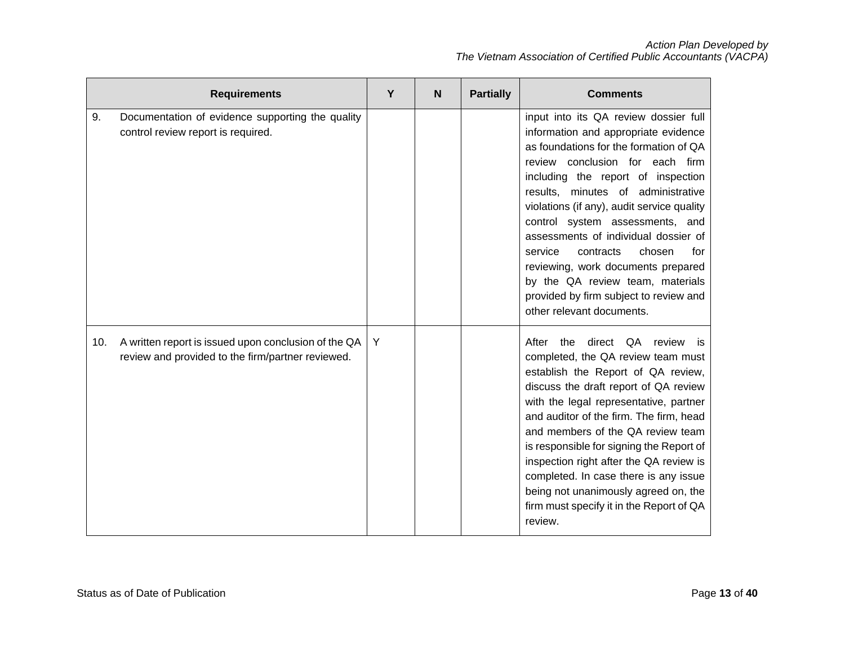|     | <b>Requirements</b>                                                                                       | Υ | N | <b>Partially</b> | <b>Comments</b>                                                                                                                                                                                                                                                                                                                                                                                                                                                                                                                                           |
|-----|-----------------------------------------------------------------------------------------------------------|---|---|------------------|-----------------------------------------------------------------------------------------------------------------------------------------------------------------------------------------------------------------------------------------------------------------------------------------------------------------------------------------------------------------------------------------------------------------------------------------------------------------------------------------------------------------------------------------------------------|
| 9.  | Documentation of evidence supporting the quality<br>control review report is required.                    |   |   |                  | input into its QA review dossier full<br>information and appropriate evidence<br>as foundations for the formation of QA<br>review conclusion for each firm<br>including the report of inspection<br>results, minutes of administrative<br>violations (if any), audit service quality<br>control system assessments, and<br>assessments of individual dossier of<br>contracts<br>chosen<br>service<br>for<br>reviewing, work documents prepared<br>by the QA review team, materials<br>provided by firm subject to review and<br>other relevant documents. |
| 10. | A written report is issued upon conclusion of the QA<br>review and provided to the firm/partner reviewed. | Y |   |                  | After<br>direct<br>QA review is<br>the<br>completed, the QA review team must<br>establish the Report of QA review,<br>discuss the draft report of QA review<br>with the legal representative, partner<br>and auditor of the firm. The firm, head<br>and members of the QA review team<br>is responsible for signing the Report of<br>inspection right after the QA review is<br>completed. In case there is any issue<br>being not unanimously agreed on, the<br>firm must specify it in the Report of QA<br>review.                                      |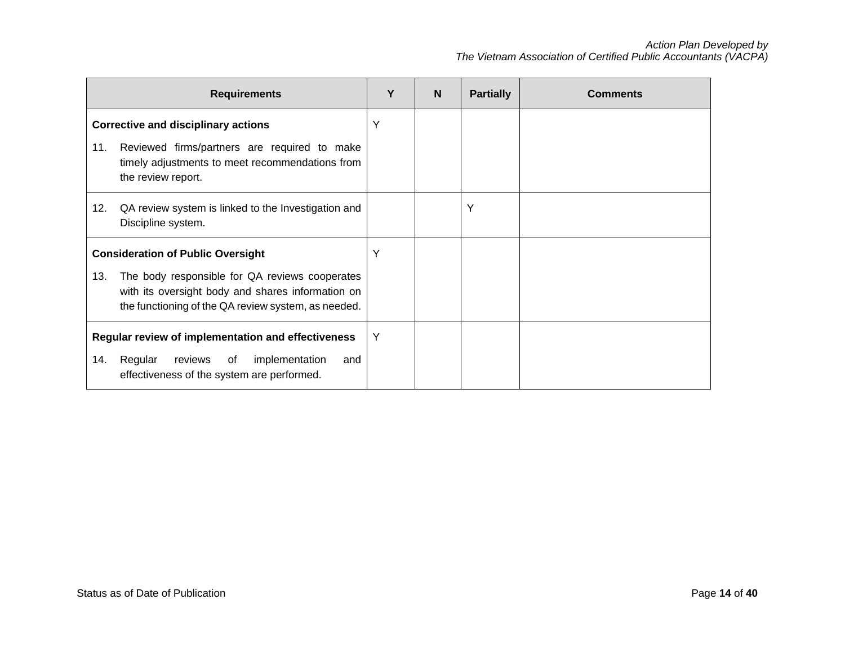|                                                    | <b>Requirements</b>                                                                                                                                        | Υ | N | <b>Partially</b> | <b>Comments</b> |
|----------------------------------------------------|------------------------------------------------------------------------------------------------------------------------------------------------------------|---|---|------------------|-----------------|
|                                                    | <b>Corrective and disciplinary actions</b>                                                                                                                 | Y |   |                  |                 |
| 11.                                                | Reviewed firms/partners are required to make<br>timely adjustments to meet recommendations from<br>the review report.                                      |   |   |                  |                 |
| 12.                                                | QA review system is linked to the Investigation and<br>Discipline system.                                                                                  |   |   | Y                |                 |
|                                                    | <b>Consideration of Public Oversight</b>                                                                                                                   | Υ |   |                  |                 |
| 13.                                                | The body responsible for QA reviews cooperates<br>with its oversight body and shares information on<br>the functioning of the QA review system, as needed. |   |   |                  |                 |
| Regular review of implementation and effectiveness |                                                                                                                                                            |   |   |                  |                 |
| 14.                                                | reviews of<br>Regular<br>implementation<br>and<br>effectiveness of the system are performed.                                                               |   |   |                  |                 |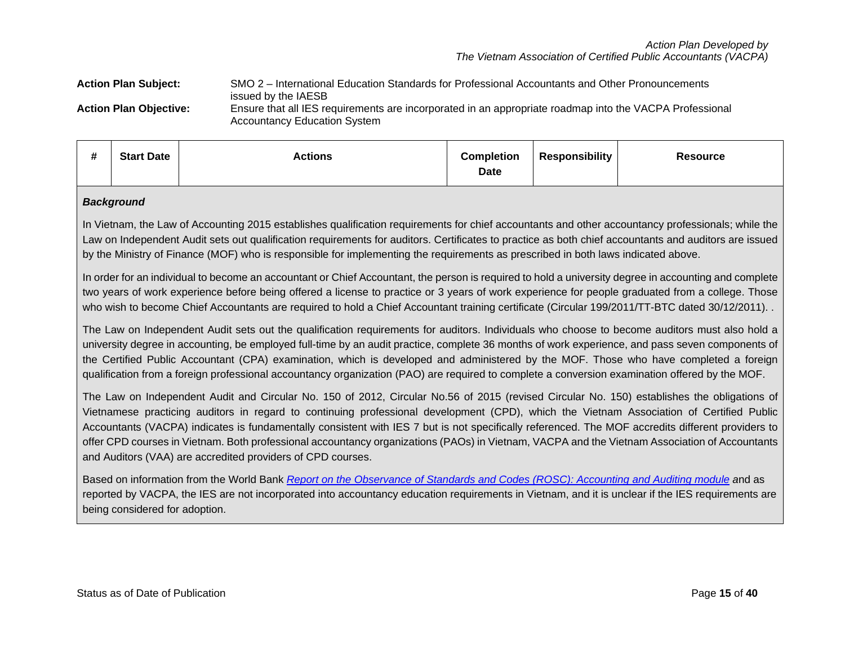### **Action Plan Subject:** SMO 2 – International Education Standards for Professional Accountants and Other Pronouncements issued by the IAESB **Action Plan Objective:** Ensure that all IES requirements are incorporated in an appropriate roadmap into the VACPA Professional Accountancy Education System

| <br><b>Start Date</b><br>π | Actions | <b>Completion</b><br>Date | <b>Responsibility</b> | <b>Resource</b> |
|----------------------------|---------|---------------------------|-----------------------|-----------------|
|----------------------------|---------|---------------------------|-----------------------|-----------------|

### *Background*

In Vietnam, the Law of Accounting 2015 establishes qualification requirements for chief accountants and other accountancy professionals; while the Law on Independent Audit sets out qualification requirements for auditors. Certificates to practice as both chief accountants and auditors are issued by the Ministry of Finance (MOF) who is responsible for implementing the requirements as prescribed in both laws indicated above.

In order for an individual to become an accountant or Chief Accountant, the person is required to hold a university degree in accounting and complete two years of work experience before being offered a license to practice or 3 years of work experience for people graduated from a college. Those who wish to become Chief Accountants are required to hold a Chief Accountant training certificate (Circular 199/2011/TT-BTC dated 30/12/2011).

The Law on Independent Audit sets out the qualification requirements for auditors. Individuals who choose to become auditors must also hold a university degree in accounting, be employed full-time by an audit practice, complete 36 months of work experience, and pass seven components of the Certified Public Accountant (CPA) examination, which is developed and administered by the MOF. Those who have completed a foreign qualification from a foreign professional accountancy organization (PAO) are required to complete a conversion examination offered by the MOF.

The Law on Independent Audit and Circular No. 150 of 2012, Circular No.56 of 2015 (revised Circular No. 150) establishes the obligations of Vietnamese practicing auditors in regard to continuing professional development (CPD), which the Vietnam Association of Certified Public Accountants (VACPA) indicates is fundamentally consistent with IES 7 but is not specifically referenced. The MOF accredits different providers to offer CPD courses in Vietnam. Both professional accountancy organizations (PAOs) in Vietnam, VACPA and the Vietnam Association of Accountants and Auditors (VAA) are accredited providers of CPD courses.

Based on information from the World Bank *[Report on the Observance of Standards and Codes \(ROSC\): Accounting and Auditing module](http://documents.worldbank.org/curated/en/220021512482581847/pdf/121901-ROSC-PUBLIC-FinalROSCEN.pdf) a*nd as reported by VACPA, the IES are not incorporated into accountancy education requirements in Vietnam, and it is unclear if the IES requirements are being considered for adoption.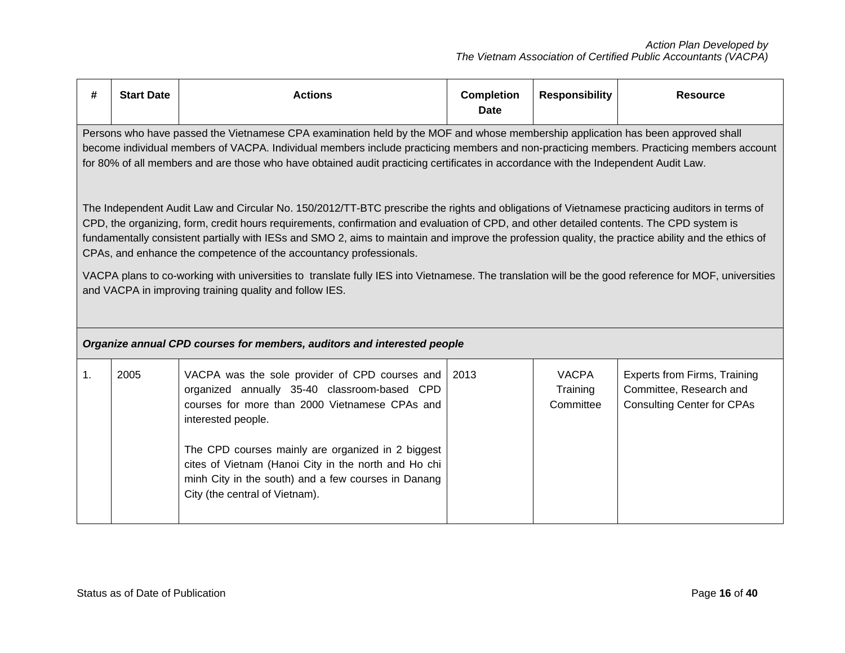| #              | <b>Start Date</b>                                                                                                                                                                                                                                                                                                                                                                                                                                                                                                                                                                                                                                                                                                                                                                                                                                                                                                                                                                                                                                                                                                                                              | <b>Actions</b>                                                                                                                                                                                                                                                                                                                                                               | <b>Completion</b><br><b>Date</b> | <b>Responsibility</b>                 | <b>Resource</b>                                                                                     |  |  |  |
|----------------|----------------------------------------------------------------------------------------------------------------------------------------------------------------------------------------------------------------------------------------------------------------------------------------------------------------------------------------------------------------------------------------------------------------------------------------------------------------------------------------------------------------------------------------------------------------------------------------------------------------------------------------------------------------------------------------------------------------------------------------------------------------------------------------------------------------------------------------------------------------------------------------------------------------------------------------------------------------------------------------------------------------------------------------------------------------------------------------------------------------------------------------------------------------|------------------------------------------------------------------------------------------------------------------------------------------------------------------------------------------------------------------------------------------------------------------------------------------------------------------------------------------------------------------------------|----------------------------------|---------------------------------------|-----------------------------------------------------------------------------------------------------|--|--|--|
|                | Persons who have passed the Vietnamese CPA examination held by the MOF and whose membership application has been approved shall<br>become individual members of VACPA. Individual members include practicing members and non-practicing members. Practicing members account<br>for 80% of all members and are those who have obtained audit practicing certificates in accordance with the Independent Audit Law.<br>The Independent Audit Law and Circular No. 150/2012/TT-BTC prescribe the rights and obligations of Vietnamese practicing auditors in terms of<br>CPD, the organizing, form, credit hours requirements, confirmation and evaluation of CPD, and other detailed contents. The CPD system is<br>fundamentally consistent partially with IESs and SMO 2, aims to maintain and improve the profession quality, the practice ability and the ethics of<br>CPAs, and enhance the competence of the accountancy professionals.<br>VACPA plans to co-working with universities to translate fully IES into Vietnamese. The translation will be the good reference for MOF, universities<br>and VACPA in improving training quality and follow IES. |                                                                                                                                                                                                                                                                                                                                                                              |                                  |                                       |                                                                                                     |  |  |  |
|                |                                                                                                                                                                                                                                                                                                                                                                                                                                                                                                                                                                                                                                                                                                                                                                                                                                                                                                                                                                                                                                                                                                                                                                | Organize annual CPD courses for members, auditors and interested people                                                                                                                                                                                                                                                                                                      |                                  |                                       |                                                                                                     |  |  |  |
| $\mathbf{1}$ . | 2005                                                                                                                                                                                                                                                                                                                                                                                                                                                                                                                                                                                                                                                                                                                                                                                                                                                                                                                                                                                                                                                                                                                                                           | VACPA was the sole provider of CPD courses and<br>organized annually 35-40 classroom-based CPD<br>courses for more than 2000 Vietnamese CPAs and<br>interested people.<br>The CPD courses mainly are organized in 2 biggest<br>cites of Vietnam (Hanoi City in the north and Ho chi<br>minh City in the south) and a few courses in Danang<br>City (the central of Vietnam). | 2013                             | <b>VACPA</b><br>Training<br>Committee | <b>Experts from Firms, Training</b><br>Committee, Research and<br><b>Consulting Center for CPAs</b> |  |  |  |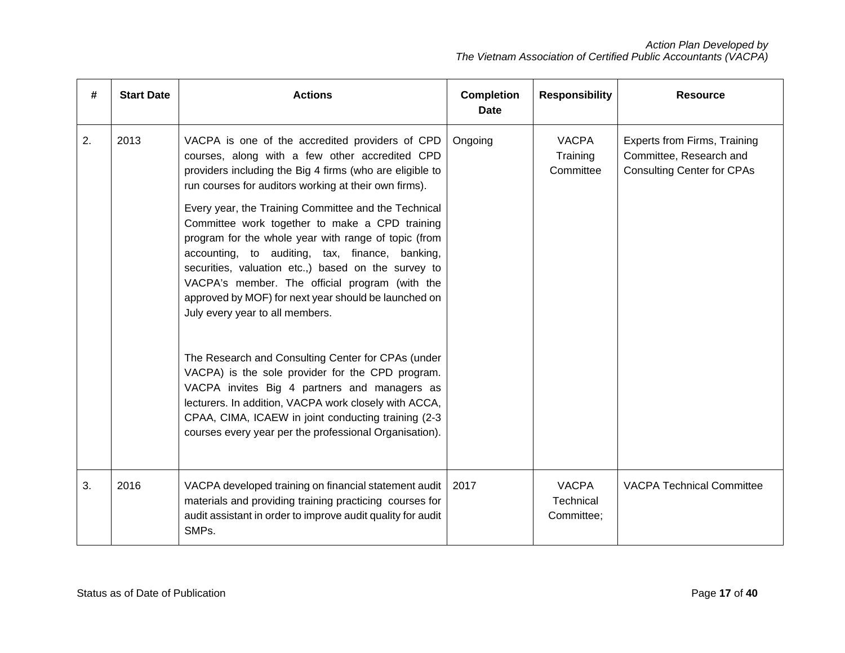| #  | <b>Start Date</b> | <b>Actions</b>                                                                                                                                                                                                                                                                                                                                                                                                                                                                                                                                                                                                                                                                                                                                                                                                                                                                                                                                                                      | <b>Completion</b><br><b>Date</b> | <b>Responsibility</b>                   | <b>Resource</b>                                                                                     |
|----|-------------------|-------------------------------------------------------------------------------------------------------------------------------------------------------------------------------------------------------------------------------------------------------------------------------------------------------------------------------------------------------------------------------------------------------------------------------------------------------------------------------------------------------------------------------------------------------------------------------------------------------------------------------------------------------------------------------------------------------------------------------------------------------------------------------------------------------------------------------------------------------------------------------------------------------------------------------------------------------------------------------------|----------------------------------|-----------------------------------------|-----------------------------------------------------------------------------------------------------|
| 2. | 2013              | VACPA is one of the accredited providers of CPD<br>courses, along with a few other accredited CPD<br>providers including the Big 4 firms (who are eligible to<br>run courses for auditors working at their own firms).<br>Every year, the Training Committee and the Technical<br>Committee work together to make a CPD training<br>program for the whole year with range of topic (from<br>accounting, to auditing, tax, finance, banking,<br>securities, valuation etc.,) based on the survey to<br>VACPA's member. The official program (with the<br>approved by MOF) for next year should be launched on<br>July every year to all members.<br>The Research and Consulting Center for CPAs (under<br>VACPA) is the sole provider for the CPD program.<br>VACPA invites Big 4 partners and managers as<br>lecturers. In addition, VACPA work closely with ACCA,<br>CPAA, CIMA, ICAEW in joint conducting training (2-3<br>courses every year per the professional Organisation). | Ongoing                          | <b>VACPA</b><br>Training<br>Committee   | <b>Experts from Firms, Training</b><br>Committee, Research and<br><b>Consulting Center for CPAs</b> |
| 3. | 2016              | VACPA developed training on financial statement audit<br>materials and providing training practicing courses for<br>audit assistant in order to improve audit quality for audit<br>SMPs.                                                                                                                                                                                                                                                                                                                                                                                                                                                                                                                                                                                                                                                                                                                                                                                            | 2017                             | <b>VACPA</b><br>Technical<br>Committee; | <b>VACPA Technical Committee</b>                                                                    |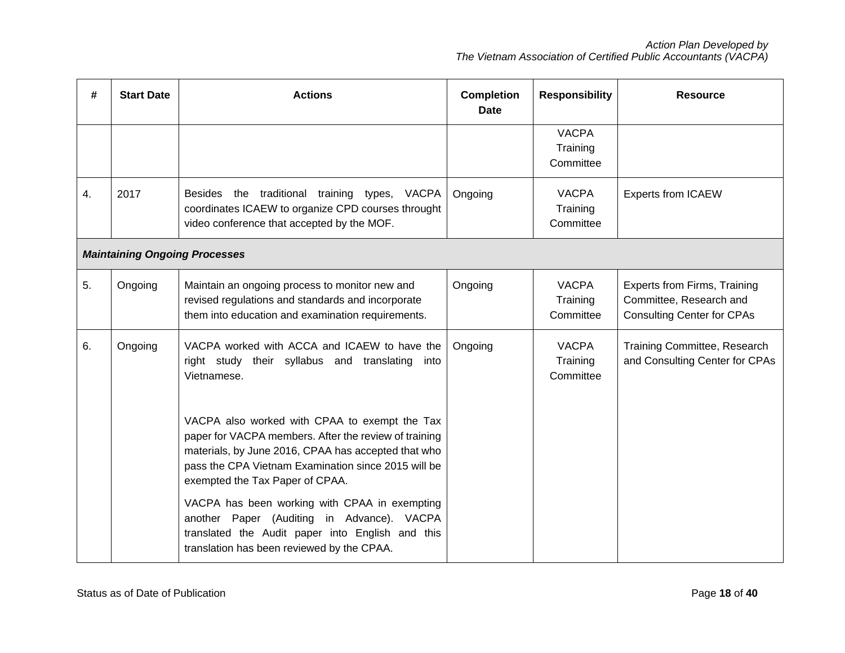| #                | <b>Start Date</b>                    | <b>Actions</b>                                                                                                                                                                                                                                                                                                                                                                                                             | <b>Completion</b><br><b>Date</b> | <b>Responsibility</b>                 | <b>Resource</b>                                                                                     |  |  |  |
|------------------|--------------------------------------|----------------------------------------------------------------------------------------------------------------------------------------------------------------------------------------------------------------------------------------------------------------------------------------------------------------------------------------------------------------------------------------------------------------------------|----------------------------------|---------------------------------------|-----------------------------------------------------------------------------------------------------|--|--|--|
|                  |                                      |                                                                                                                                                                                                                                                                                                                                                                                                                            |                                  | <b>VACPA</b><br>Training<br>Committee |                                                                                                     |  |  |  |
| $\overline{4}$ . | 2017                                 | Besides the traditional training types, VACPA<br>coordinates ICAEW to organize CPD courses throught<br>video conference that accepted by the MOF.                                                                                                                                                                                                                                                                          | Ongoing                          | <b>VACPA</b><br>Training<br>Committee | <b>Experts from ICAEW</b>                                                                           |  |  |  |
|                  | <b>Maintaining Ongoing Processes</b> |                                                                                                                                                                                                                                                                                                                                                                                                                            |                                  |                                       |                                                                                                     |  |  |  |
| 5.               | Ongoing                              | Maintain an ongoing process to monitor new and<br>revised regulations and standards and incorporate<br>them into education and examination requirements.                                                                                                                                                                                                                                                                   | Ongoing                          | <b>VACPA</b><br>Training<br>Committee | <b>Experts from Firms, Training</b><br>Committee, Research and<br><b>Consulting Center for CPAs</b> |  |  |  |
| 6.               | Ongoing                              | VACPA worked with ACCA and ICAEW to have the<br>right study their syllabus and translating into<br>Vietnamese.<br>VACPA also worked with CPAA to exempt the Tax<br>paper for VACPA members. After the review of training<br>materials, by June 2016, CPAA has accepted that who<br>pass the CPA Vietnam Examination since 2015 will be<br>exempted the Tax Paper of CPAA.<br>VACPA has been working with CPAA in exempting | Ongoing                          | <b>VACPA</b><br>Training<br>Committee | Training Committee, Research<br>and Consulting Center for CPAs                                      |  |  |  |
|                  |                                      | another Paper (Auditing in Advance). VACPA<br>translated the Audit paper into English and this<br>translation has been reviewed by the CPAA.                                                                                                                                                                                                                                                                               |                                  |                                       |                                                                                                     |  |  |  |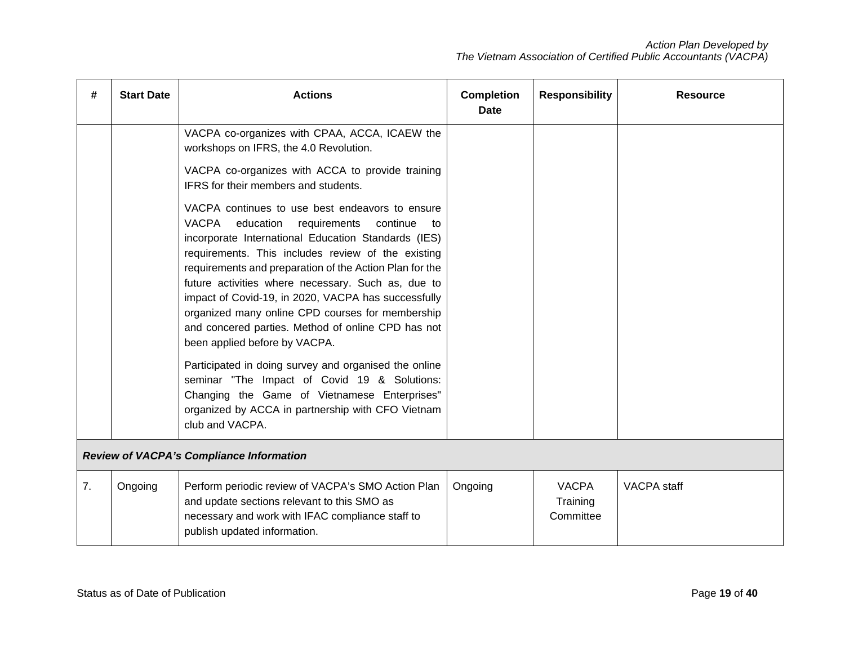| #  | <b>Start Date</b>                               | <b>Actions</b>                                                                                                                                                                                                                                                                                                                                                                                                                                                                                                                                                                                                                                                                                                                                                                                                                                                                                                                                                  | <b>Completion</b><br>Date | <b>Responsibility</b>                 | <b>Resource</b>    |  |  |
|----|-------------------------------------------------|-----------------------------------------------------------------------------------------------------------------------------------------------------------------------------------------------------------------------------------------------------------------------------------------------------------------------------------------------------------------------------------------------------------------------------------------------------------------------------------------------------------------------------------------------------------------------------------------------------------------------------------------------------------------------------------------------------------------------------------------------------------------------------------------------------------------------------------------------------------------------------------------------------------------------------------------------------------------|---------------------------|---------------------------------------|--------------------|--|--|
|    |                                                 | VACPA co-organizes with CPAA, ACCA, ICAEW the<br>workshops on IFRS, the 4.0 Revolution.<br>VACPA co-organizes with ACCA to provide training<br>IFRS for their members and students.<br>VACPA continues to use best endeavors to ensure<br>VACPA<br>education<br>requirements<br>continue<br>to<br>incorporate International Education Standards (IES)<br>requirements. This includes review of the existing<br>requirements and preparation of the Action Plan for the<br>future activities where necessary. Such as, due to<br>impact of Covid-19, in 2020, VACPA has successfully<br>organized many online CPD courses for membership<br>and concered parties. Method of online CPD has not<br>been applied before by VACPA.<br>Participated in doing survey and organised the online<br>seminar "The Impact of Covid 19 & Solutions:<br>Changing the Game of Vietnamese Enterprises"<br>organized by ACCA in partnership with CFO Vietnam<br>club and VACPA. |                           |                                       |                    |  |  |
|    | <b>Review of VACPA's Compliance Information</b> |                                                                                                                                                                                                                                                                                                                                                                                                                                                                                                                                                                                                                                                                                                                                                                                                                                                                                                                                                                 |                           |                                       |                    |  |  |
| 7. | Ongoing                                         | Perform periodic review of VACPA's SMO Action Plan<br>and update sections relevant to this SMO as<br>necessary and work with IFAC compliance staff to<br>publish updated information.                                                                                                                                                                                                                                                                                                                                                                                                                                                                                                                                                                                                                                                                                                                                                                           | Ongoing                   | <b>VACPA</b><br>Training<br>Committee | <b>VACPA</b> staff |  |  |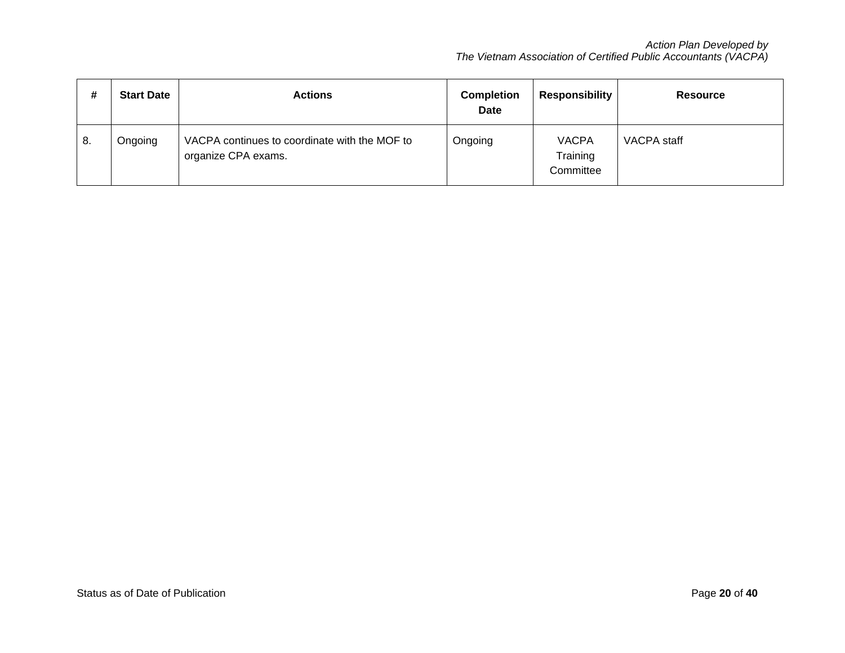| #  | <b>Start Date</b> | <b>Actions</b>                                                       | <b>Completion</b><br><b>Date</b> | <b>Responsibility</b>                 | <b>Resource</b> |
|----|-------------------|----------------------------------------------------------------------|----------------------------------|---------------------------------------|-----------------|
| 8. | Ongoing           | VACPA continues to coordinate with the MOF to<br>organize CPA exams. | Ongoing                          | <b>VACPA</b><br>Training<br>Committee | VACPA staff     |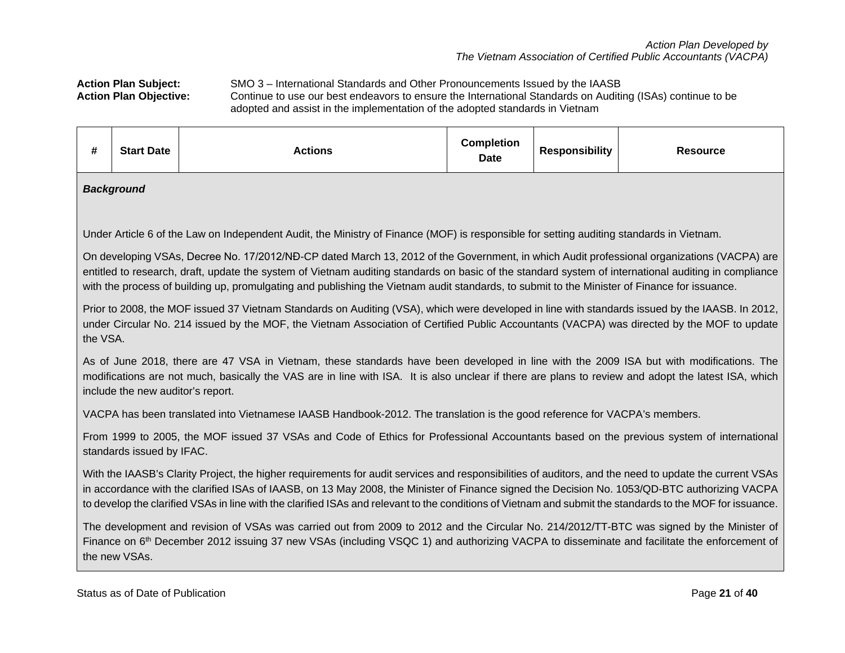Action Plan Subject: SMO 3 – International Standards and Other Pronouncements Issued by the IAASB<br>Action Plan Objective: Continue to use our best endeavors to ensure the International Standards on Auditional Continue to use our best endeavors to ensure the International Standards on Auditing (ISAs) continue to be adopted and assist in the implementation of the adopted standards in Vietnam

| #                                                                                                                                                                                                                                                                                                                                                                                                                                                  | <b>Start Date</b>                                                                                                                                                                                                                                                                                                                                                                                                                                                    | <b>Actions</b>                                                                                                                                                                                                                                                                                 | <b>Completion</b><br><b>Date</b> | <b>Responsibility</b> | <b>Resource</b> |  |  |  |  |
|----------------------------------------------------------------------------------------------------------------------------------------------------------------------------------------------------------------------------------------------------------------------------------------------------------------------------------------------------------------------------------------------------------------------------------------------------|----------------------------------------------------------------------------------------------------------------------------------------------------------------------------------------------------------------------------------------------------------------------------------------------------------------------------------------------------------------------------------------------------------------------------------------------------------------------|------------------------------------------------------------------------------------------------------------------------------------------------------------------------------------------------------------------------------------------------------------------------------------------------|----------------------------------|-----------------------|-----------------|--|--|--|--|
|                                                                                                                                                                                                                                                                                                                                                                                                                                                    | <b>Background</b>                                                                                                                                                                                                                                                                                                                                                                                                                                                    |                                                                                                                                                                                                                                                                                                |                                  |                       |                 |  |  |  |  |
| Under Article 6 of the Law on Independent Audit, the Ministry of Finance (MOF) is responsible for setting auditing standards in Vietnam.                                                                                                                                                                                                                                                                                                           |                                                                                                                                                                                                                                                                                                                                                                                                                                                                      |                                                                                                                                                                                                                                                                                                |                                  |                       |                 |  |  |  |  |
| On developing VSAs, Decree No. 17/2012/NĐ-CP dated March 13, 2012 of the Government, in which Audit professional organizations (VACPA) are<br>entitled to research, draft, update the system of Vietnam auditing standards on basic of the standard system of international auditing in compliance<br>with the process of building up, promulgating and publishing the Vietnam audit standards, to submit to the Minister of Finance for issuance. |                                                                                                                                                                                                                                                                                                                                                                                                                                                                      |                                                                                                                                                                                                                                                                                                |                                  |                       |                 |  |  |  |  |
| the VSA.                                                                                                                                                                                                                                                                                                                                                                                                                                           |                                                                                                                                                                                                                                                                                                                                                                                                                                                                      | Prior to 2008, the MOF issued 37 Vietnam Standards on Auditing (VSA), which were developed in line with standards issued by the IAASB. In 2012,<br>under Circular No. 214 issued by the MOF, the Vietnam Association of Certified Public Accountants (VACPA) was directed by the MOF to update |                                  |                       |                 |  |  |  |  |
|                                                                                                                                                                                                                                                                                                                                                                                                                                                    | include the new auditor's report.                                                                                                                                                                                                                                                                                                                                                                                                                                    | As of June 2018, there are 47 VSA in Vietnam, these standards have been developed in line with the 2009 ISA but with modifications. The<br>modifications are not much, basically the VAS are in line with ISA. It is also unclear if there are plans to review and adopt the latest ISA, which |                                  |                       |                 |  |  |  |  |
|                                                                                                                                                                                                                                                                                                                                                                                                                                                    |                                                                                                                                                                                                                                                                                                                                                                                                                                                                      | VACPA has been translated into Vietnamese IAASB Handbook-2012. The translation is the good reference for VACPA's members.                                                                                                                                                                      |                                  |                       |                 |  |  |  |  |
|                                                                                                                                                                                                                                                                                                                                                                                                                                                    | standards issued by IFAC.                                                                                                                                                                                                                                                                                                                                                                                                                                            | From 1999 to 2005, the MOF issued 37 VSAs and Code of Ethics for Professional Accountants based on the previous system of international                                                                                                                                                        |                                  |                       |                 |  |  |  |  |
|                                                                                                                                                                                                                                                                                                                                                                                                                                                    | With the IAASB's Clarity Project, the higher requirements for audit services and responsibilities of auditors, and the need to update the current VSAs<br>in accordance with the clarified ISAs of IAASB, on 13 May 2008, the Minister of Finance signed the Decision No. 1053/QD-BTC authorizing VACPA<br>to develop the clarified VSAs in line with the clarified ISAs and relevant to the conditions of Vietnam and submit the standards to the MOF for issuance. |                                                                                                                                                                                                                                                                                                |                                  |                       |                 |  |  |  |  |
|                                                                                                                                                                                                                                                                                                                                                                                                                                                    | The development and revision of VSAs was carried out from 2009 to 2012 and the Circular No. 214/2012/TT-BTC was signed by the Minister of<br>Finance on 6 <sup>th</sup> December 2012 issuing 37 new VSAs (including VSQC 1) and authorizing VACPA to disseminate and facilitate the enforcement of<br>the new VSAs.                                                                                                                                                 |                                                                                                                                                                                                                                                                                                |                                  |                       |                 |  |  |  |  |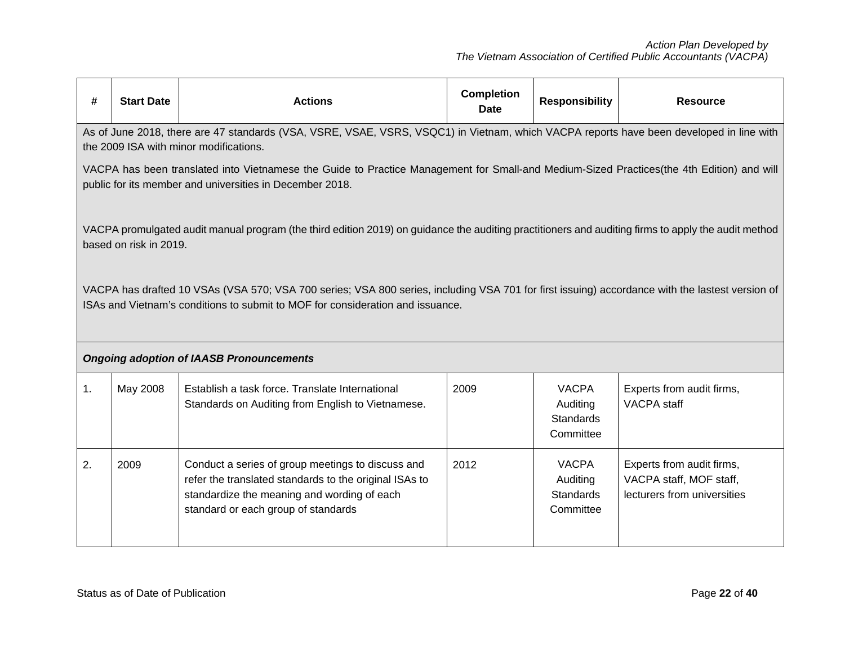| #  | <b>Start Date</b>                                                                                                                                                                                     | <b>Actions</b>                                                                                                                                                                                                                    | <b>Completion</b><br><b>Date</b> | <b>Responsibility</b>                                     | <b>Resource</b>                                                                     |  |  |
|----|-------------------------------------------------------------------------------------------------------------------------------------------------------------------------------------------------------|-----------------------------------------------------------------------------------------------------------------------------------------------------------------------------------------------------------------------------------|----------------------------------|-----------------------------------------------------------|-------------------------------------------------------------------------------------|--|--|
|    |                                                                                                                                                                                                       | As of June 2018, there are 47 standards (VSA, VSRE, VSAE, VSRS, VSQC1) in Vietnam, which VACPA reports have been developed in line with<br>the 2009 ISA with minor modifications.                                                 |                                  |                                                           |                                                                                     |  |  |
|    | VACPA has been translated into Vietnamese the Guide to Practice Management for Small-and Medium-Sized Practices(the 4th Edition) and will<br>public for its member and universities in December 2018. |                                                                                                                                                                                                                                   |                                  |                                                           |                                                                                     |  |  |
|    | based on risk in 2019.                                                                                                                                                                                | VACPA promulgated audit manual program (the third edition 2019) on guidance the auditing practitioners and auditing firms to apply the audit method                                                                               |                                  |                                                           |                                                                                     |  |  |
|    |                                                                                                                                                                                                       | VACPA has drafted 10 VSAs (VSA 570; VSA 700 series; VSA 800 series, including VSA 701 for first issuing) accordance with the lastest version of<br>ISAs and Vietnam's conditions to submit to MOF for consideration and issuance. |                                  |                                                           |                                                                                     |  |  |
|    |                                                                                                                                                                                                       | <b>Ongoing adoption of IAASB Pronouncements</b>                                                                                                                                                                                   |                                  |                                                           |                                                                                     |  |  |
| 1. | May 2008                                                                                                                                                                                              | Establish a task force. Translate International<br>Standards on Auditing from English to Vietnamese.                                                                                                                              | 2009                             | <b>VACPA</b><br>Auditing<br><b>Standards</b><br>Committee | Experts from audit firms,<br><b>VACPA</b> staff                                     |  |  |
| 2. | 2009                                                                                                                                                                                                  | Conduct a series of group meetings to discuss and<br>refer the translated standards to the original ISAs to<br>standardize the meaning and wording of each<br>standard or each group of standards                                 | 2012                             | <b>VACPA</b><br>Auditing<br><b>Standards</b><br>Committee | Experts from audit firms,<br>VACPA staff, MOF staff,<br>lecturers from universities |  |  |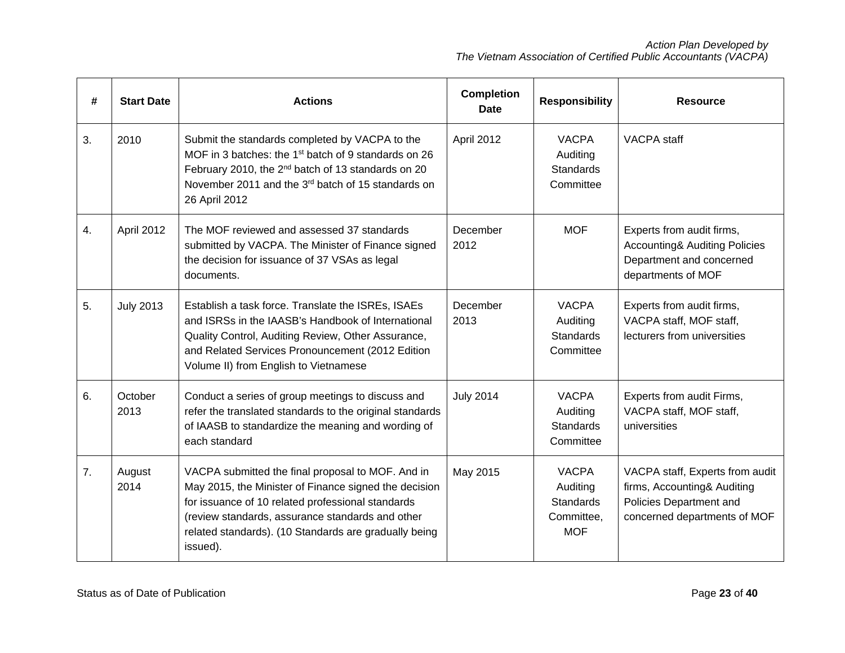| #  | <b>Start Date</b> | <b>Actions</b>                                                                                                                                                                                                                                                                           | <b>Completion</b><br><b>Date</b> | <b>Responsibility</b>                                                    | <b>Resource</b>                                                                                                           |
|----|-------------------|------------------------------------------------------------------------------------------------------------------------------------------------------------------------------------------------------------------------------------------------------------------------------------------|----------------------------------|--------------------------------------------------------------------------|---------------------------------------------------------------------------------------------------------------------------|
| 3. | 2010              | Submit the standards completed by VACPA to the<br>MOF in 3 batches: the 1 <sup>st</sup> batch of 9 standards on 26<br>February 2010, the 2 <sup>nd</sup> batch of 13 standards on 20<br>November 2011 and the 3rd batch of 15 standards on<br>26 April 2012                              | April 2012                       | <b>VACPA</b><br>Auditing<br><b>Standards</b><br>Committee                | <b>VACPA</b> staff                                                                                                        |
| 4. | April 2012        | The MOF reviewed and assessed 37 standards<br>submitted by VACPA. The Minister of Finance signed<br>the decision for issuance of 37 VSAs as legal<br>documents.                                                                                                                          | December<br>2012                 | <b>MOF</b>                                                               | Experts from audit firms,<br><b>Accounting&amp; Auditing Policies</b><br>Department and concerned<br>departments of MOF   |
| 5. | <b>July 2013</b>  | Establish a task force. Translate the ISREs, ISAEs<br>and ISRSs in the IAASB's Handbook of International<br>Quality Control, Auditing Review, Other Assurance,<br>and Related Services Pronouncement (2012 Edition<br>Volume II) from English to Vietnamese                              | December<br>2013                 | <b>VACPA</b><br>Auditing<br><b>Standards</b><br>Committee                | Experts from audit firms,<br>VACPA staff, MOF staff,<br>lecturers from universities                                       |
| 6. | October<br>2013   | Conduct a series of group meetings to discuss and<br>refer the translated standards to the original standards<br>of IAASB to standardize the meaning and wording of<br>each standard                                                                                                     | <b>July 2014</b>                 | <b>VACPA</b><br>Auditing<br><b>Standards</b><br>Committee                | Experts from audit Firms,<br>VACPA staff, MOF staff,<br>universities                                                      |
| 7. | August<br>2014    | VACPA submitted the final proposal to MOF. And in<br>May 2015, the Minister of Finance signed the decision<br>for issuance of 10 related professional standards<br>(review standards, assurance standards and other<br>related standards). (10 Standards are gradually being<br>issued). | May 2015                         | <b>VACPA</b><br>Auditing<br><b>Standards</b><br>Committee,<br><b>MOF</b> | VACPA staff, Experts from audit<br>firms, Accounting& Auditing<br>Policies Department and<br>concerned departments of MOF |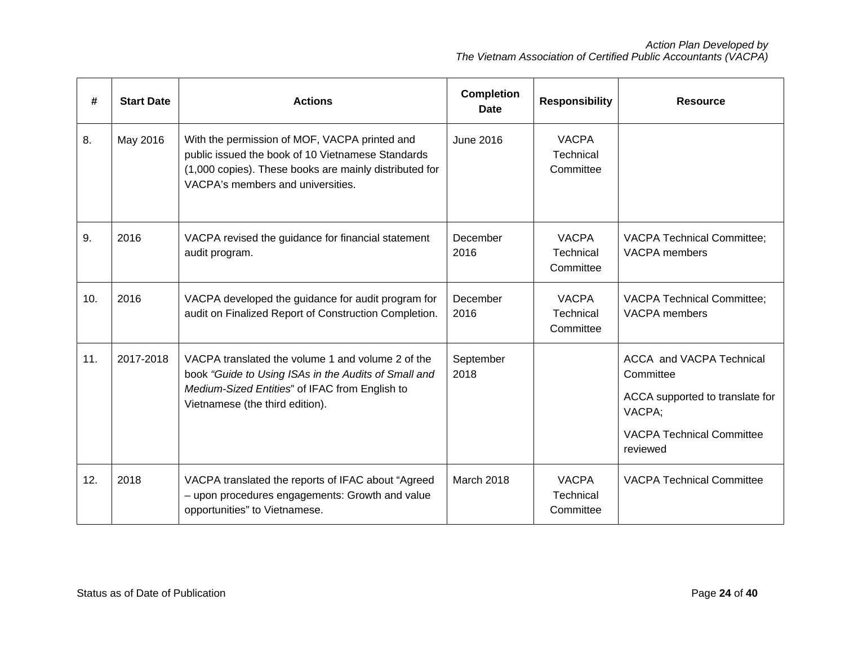| #   | <b>Start Date</b> | <b>Actions</b>                                                                                                                                                                                    | <b>Completion</b><br>Date | <b>Responsibility</b>                         | <b>Resource</b>                                                                                                                    |
|-----|-------------------|---------------------------------------------------------------------------------------------------------------------------------------------------------------------------------------------------|---------------------------|-----------------------------------------------|------------------------------------------------------------------------------------------------------------------------------------|
| 8.  | May 2016          | With the permission of MOF, VACPA printed and<br>public issued the book of 10 Vietnamese Standards<br>(1,000 copies). These books are mainly distributed for<br>VACPA's members and universities. | June 2016                 | <b>VACPA</b><br>Technical<br>Committee        |                                                                                                                                    |
| 9.  | 2016              | VACPA revised the guidance for financial statement<br>audit program.                                                                                                                              | December<br>2016          | <b>VACPA</b><br>Technical<br>Committee        | <b>VACPA Technical Committee;</b><br><b>VACPA</b> members                                                                          |
| 10. | 2016              | VACPA developed the guidance for audit program for<br>audit on Finalized Report of Construction Completion.                                                                                       | December<br>2016          | <b>VACPA</b><br><b>Technical</b><br>Committee | <b>VACPA Technical Committee;</b><br><b>VACPA</b> members                                                                          |
| 11. | 2017-2018         | VACPA translated the volume 1 and volume 2 of the<br>book "Guide to Using ISAs in the Audits of Small and<br>Medium-Sized Entities" of IFAC from English to<br>Vietnamese (the third edition).    | September<br>2018         |                                               | ACCA and VACPA Technical<br>Committee<br>ACCA supported to translate for<br>VACPA;<br><b>VACPA Technical Committee</b><br>reviewed |
| 12. | 2018              | VACPA translated the reports of IFAC about "Agreed<br>- upon procedures engagements: Growth and value<br>opportunities" to Vietnamese.                                                            | March 2018                | <b>VACPA</b><br>Technical<br>Committee        | <b>VACPA Technical Committee</b>                                                                                                   |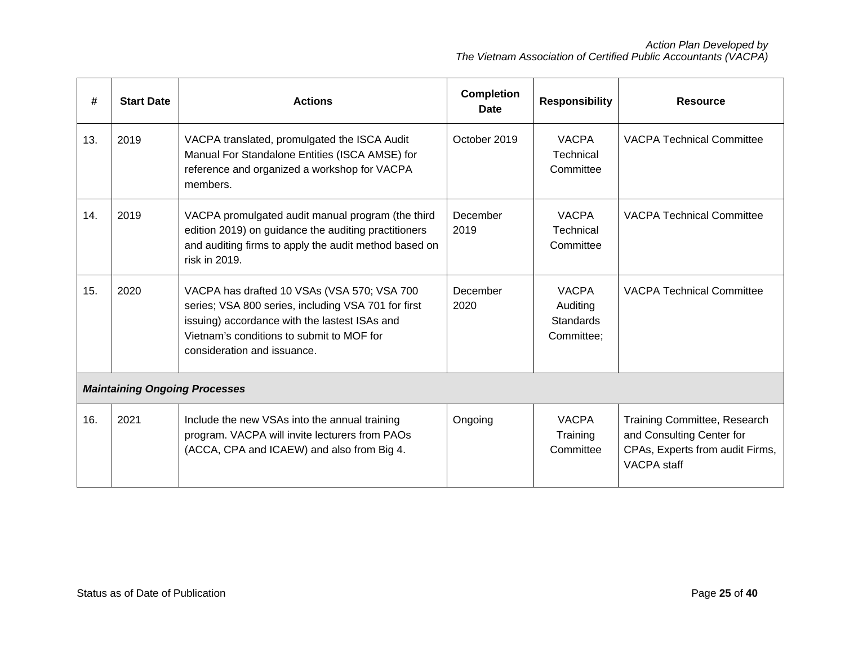| #   | <b>Start Date</b> | <b>Actions</b>                                                                                                                                                                                                                  | <b>Completion</b><br><b>Date</b> | <b>Responsibility</b>                                      | <b>Resource</b>                                                                                                    |
|-----|-------------------|---------------------------------------------------------------------------------------------------------------------------------------------------------------------------------------------------------------------------------|----------------------------------|------------------------------------------------------------|--------------------------------------------------------------------------------------------------------------------|
| 13. | 2019              | VACPA translated, promulgated the ISCA Audit<br>Manual For Standalone Entities (ISCA AMSE) for<br>reference and organized a workshop for VACPA<br>members.                                                                      | October 2019                     | <b>VACPA</b><br>Technical<br>Committee                     | <b>VACPA Technical Committee</b>                                                                                   |
| 14. | 2019              | VACPA promulgated audit manual program (the third<br>edition 2019) on guidance the auditing practitioners<br>and auditing firms to apply the audit method based on<br>risk in 2019.                                             | December<br>2019                 | <b>VACPA</b><br><b>Technical</b><br>Committee              | <b>VACPA Technical Committee</b>                                                                                   |
| 15. | 2020              | VACPA has drafted 10 VSAs (VSA 570; VSA 700<br>series; VSA 800 series, including VSA 701 for first<br>issuing) accordance with the lastest ISAs and<br>Vietnam's conditions to submit to MOF for<br>consideration and issuance. | December<br>2020                 | <b>VACPA</b><br>Auditing<br><b>Standards</b><br>Committee: | <b>VACPA Technical Committee</b>                                                                                   |
|     |                   | <b>Maintaining Ongoing Processes</b>                                                                                                                                                                                            |                                  |                                                            |                                                                                                                    |
| 16. | 2021              | Include the new VSAs into the annual training<br>program. VACPA will invite lecturers from PAOs<br>(ACCA, CPA and ICAEW) and also from Big 4.                                                                                   | Ongoing                          | <b>VACPA</b><br>Training<br>Committee                      | Training Committee, Research<br>and Consulting Center for<br>CPAs, Experts from audit Firms,<br><b>VACPA</b> staff |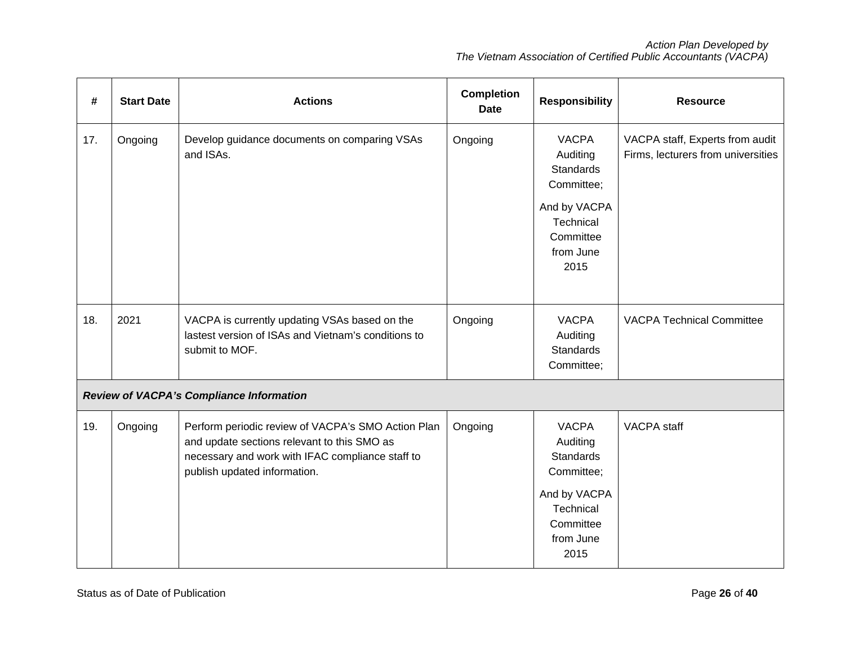| #   | <b>Start Date</b> | <b>Actions</b>                                                                                                                                                                        | <b>Completion</b><br><b>Date</b> | <b>Responsibility</b>                                              | <b>Resource</b>                                                       |
|-----|-------------------|---------------------------------------------------------------------------------------------------------------------------------------------------------------------------------------|----------------------------------|--------------------------------------------------------------------|-----------------------------------------------------------------------|
| 17. | Ongoing           | Develop guidance documents on comparing VSAs<br>and ISAs.                                                                                                                             | Ongoing                          | <b>VACPA</b><br>Auditing<br><b>Standards</b><br>Committee;         | VACPA staff, Experts from audit<br>Firms, lecturers from universities |
|     |                   |                                                                                                                                                                                       |                                  | And by VACPA<br><b>Technical</b><br>Committee<br>from June<br>2015 |                                                                       |
| 18. | 2021              | VACPA is currently updating VSAs based on the<br>lastest version of ISAs and Vietnam's conditions to<br>submit to MOF.                                                                | Ongoing                          | <b>VACPA</b><br>Auditing<br><b>Standards</b><br>Committee;         | <b>VACPA Technical Committee</b>                                      |
|     |                   | Review of VACPA's Compliance Information                                                                                                                                              |                                  |                                                                    |                                                                       |
| 19. | Ongoing           | Perform periodic review of VACPA's SMO Action Plan<br>and update sections relevant to this SMO as<br>necessary and work with IFAC compliance staff to<br>publish updated information. | Ongoing                          | <b>VACPA</b><br>Auditing<br><b>Standards</b><br>Committee;         | <b>VACPA</b> staff                                                    |
|     |                   |                                                                                                                                                                                       |                                  | And by VACPA<br>Technical<br>Committee<br>from June<br>2015        |                                                                       |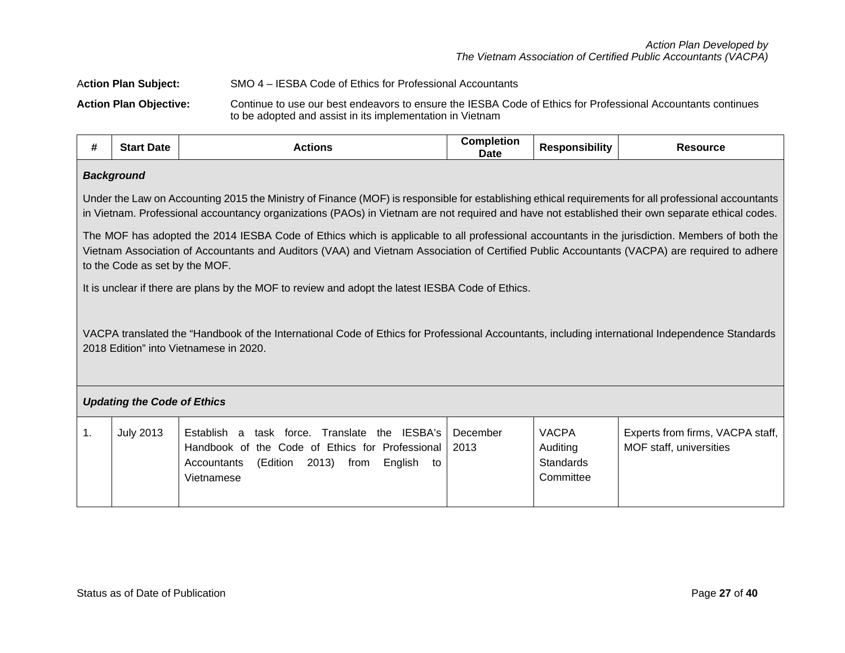# A**ction Plan Subject:** SMO 4 – IESBA Code of Ethics for Professional Accountants **Action Plan Objective:** Continue to use our best endeavors to ensure the IESBA Code of Ethics for Professional Accountants continues to be adopted and assist in its implementation in Vietnam

| #  | <b>Start Date</b>                                                                                                                                                                                                                                                                                                                | <b>Actions</b>                                                                                                                                                                            | <b>Completion</b><br>Date | <b>Responsibility</b>                              | <b>Resource</b>                                             |  |  |  |  |
|----|----------------------------------------------------------------------------------------------------------------------------------------------------------------------------------------------------------------------------------------------------------------------------------------------------------------------------------|-------------------------------------------------------------------------------------------------------------------------------------------------------------------------------------------|---------------------------|----------------------------------------------------|-------------------------------------------------------------|--|--|--|--|
|    | <b>Background</b>                                                                                                                                                                                                                                                                                                                |                                                                                                                                                                                           |                           |                                                    |                                                             |  |  |  |  |
|    | Under the Law on Accounting 2015 the Ministry of Finance (MOF) is responsible for establishing ethical requirements for all professional accountants<br>in Vietnam. Professional accountancy organizations (PAOs) in Vietnam are not required and have not established their own separate ethical codes.                         |                                                                                                                                                                                           |                           |                                                    |                                                             |  |  |  |  |
|    | The MOF has adopted the 2014 IESBA Code of Ethics which is applicable to all professional accountants in the jurisdiction. Members of both the<br>Vietnam Association of Accountants and Auditors (VAA) and Vietnam Association of Certified Public Accountants (VACPA) are required to adhere<br>to the Code as set by the MOF. |                                                                                                                                                                                           |                           |                                                    |                                                             |  |  |  |  |
|    |                                                                                                                                                                                                                                                                                                                                  | It is unclear if there are plans by the MOF to review and adopt the latest IESBA Code of Ethics.                                                                                          |                           |                                                    |                                                             |  |  |  |  |
|    |                                                                                                                                                                                                                                                                                                                                  | VACPA translated the "Handbook of the International Code of Ethics for Professional Accountants, including international Independence Standards<br>2018 Edition" into Vietnamese in 2020. |                           |                                                    |                                                             |  |  |  |  |
|    | <b>Updating the Code of Ethics</b>                                                                                                                                                                                                                                                                                               |                                                                                                                                                                                           |                           |                                                    |                                                             |  |  |  |  |
| 1. | <b>July 2013</b>                                                                                                                                                                                                                                                                                                                 | task force. Translate the IESBA's<br>Establish a<br>Handbook of the Code of Ethics for Professional<br>2013) from<br>(Edition<br>English<br>Accountants<br>to<br>Vietnamese               | December<br>2013          | <b>VACPA</b><br>Auditing<br>Standards<br>Committee | Experts from firms, VACPA staff,<br>MOF staff, universities |  |  |  |  |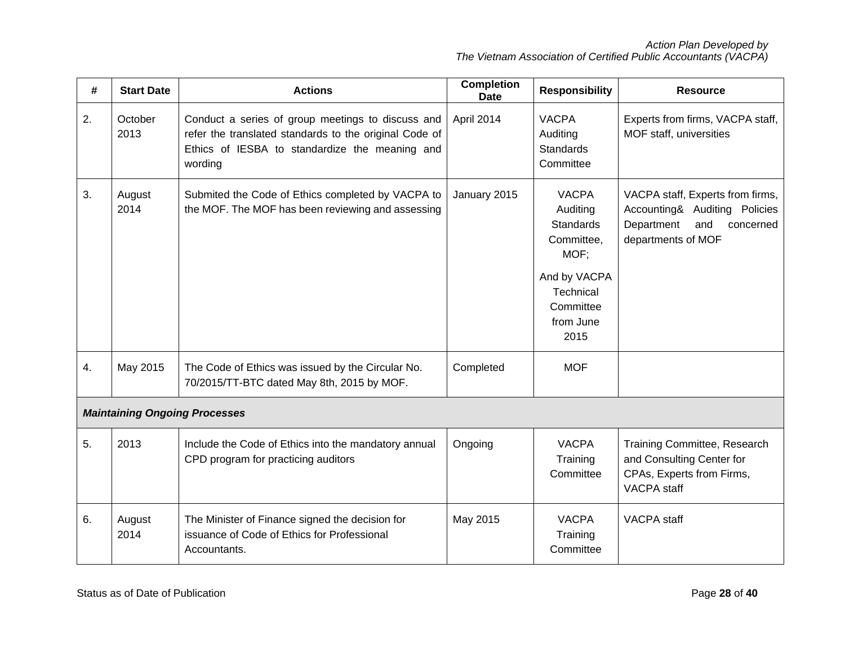| #  | <b>Start Date</b> | <b>Actions</b>                                                                                                                                                           | <b>Completion</b><br><b>Date</b>                                                   | <b>Responsibility</b>                                       | <b>Resource</b>                                                                                                           |
|----|-------------------|--------------------------------------------------------------------------------------------------------------------------------------------------------------------------|------------------------------------------------------------------------------------|-------------------------------------------------------------|---------------------------------------------------------------------------------------------------------------------------|
| 2. | October<br>2013   | Conduct a series of group meetings to discuss and<br>refer the translated standards to the original Code of<br>Ethics of IESBA to standardize the meaning and<br>wording | April 2014<br><b>VACPA</b><br>Auditing<br><b>Standards</b><br>Committee            |                                                             | Experts from firms, VACPA staff,<br>MOF staff, universities                                                               |
| 3. | August<br>2014    | Submited the Code of Ethics completed by VACPA to<br>the MOF. The MOF has been reviewing and assessing                                                                   | <b>VACPA</b><br>January 2015<br>Auditing<br><b>Standards</b><br>Committee,<br>MOF; |                                                             | VACPA staff, Experts from firms,<br>Accounting& Auditing Policies<br>Department<br>and<br>concerned<br>departments of MOF |
|    |                   |                                                                                                                                                                          |                                                                                    | And by VACPA<br>Technical<br>Committee<br>from June<br>2015 |                                                                                                                           |
| 4. | May 2015          | The Code of Ethics was issued by the Circular No.<br>70/2015/TT-BTC dated May 8th, 2015 by MOF.                                                                          | Completed                                                                          | <b>MOF</b>                                                  |                                                                                                                           |
|    |                   | <b>Maintaining Ongoing Processes</b>                                                                                                                                     |                                                                                    |                                                             |                                                                                                                           |
| 5. | 2013              | Include the Code of Ethics into the mandatory annual<br>CPD program for practicing auditors                                                                              | <b>VACPA</b><br>Ongoing<br>Training<br>Committee                                   |                                                             | Training Committee, Research<br>and Consulting Center for<br>CPAs, Experts from Firms,<br>VACPA staff                     |
| 6. | August<br>2014    | The Minister of Finance signed the decision for<br>issuance of Code of Ethics for Professional<br>Accountants.                                                           | May 2015                                                                           | <b>VACPA</b><br>Training<br>Committee                       | <b>VACPA</b> staff                                                                                                        |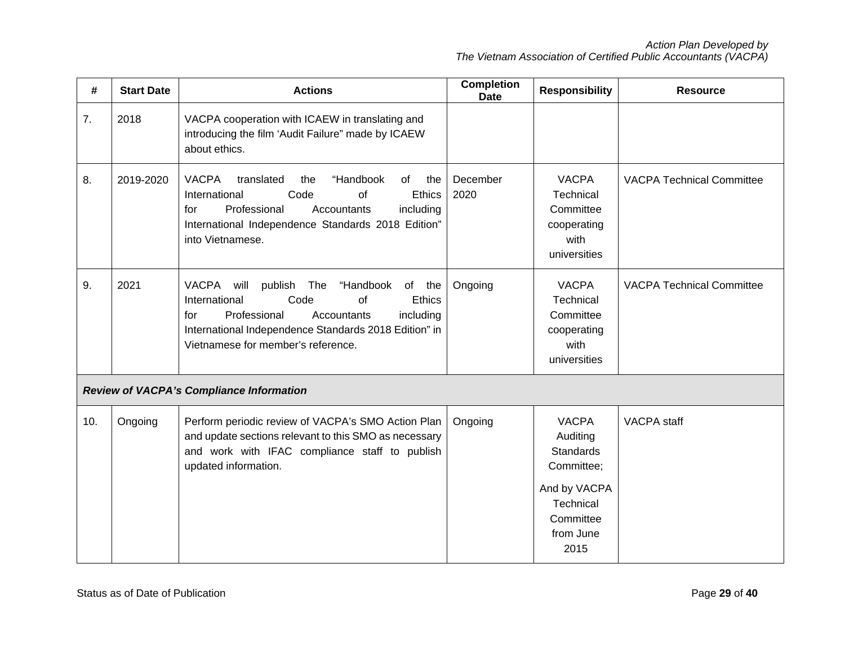| #   | <b>Start Date</b> | <b>Actions</b>                                                                                                                                                                                                                                        | <b>Completion</b><br><b>Date</b> | <b>Responsibility</b>                                                                                                     | <b>Resource</b>                  |
|-----|-------------------|-------------------------------------------------------------------------------------------------------------------------------------------------------------------------------------------------------------------------------------------------------|----------------------------------|---------------------------------------------------------------------------------------------------------------------------|----------------------------------|
| 7.  | 2018              | VACPA cooperation with ICAEW in translating and<br>introducing the film 'Audit Failure" made by ICAEW<br>about ethics.                                                                                                                                |                                  |                                                                                                                           |                                  |
| 8.  | 2019-2020         | "Handbook<br><b>VACPA</b><br>translated<br>the<br>of<br>the<br>Ethics<br>Code<br>International<br>of<br>Professional<br>including<br>Accountants<br>for<br>International Independence Standards 2018 Edition"<br>into Vietnamese.                     | December<br>2020                 | <b>VACPA</b><br>Technical<br>Committee<br>cooperating<br>with<br>universities                                             | <b>VACPA Technical Committee</b> |
| 9.  | 2021              | VACPA<br>will<br>publish The<br>"Handbook<br>of the<br>Code<br>International<br><b>of</b><br>Ethics<br>Professional<br>including<br>for<br>Accountants<br>International Independence Standards 2018 Edition" in<br>Vietnamese for member's reference. | Ongoing                          | <b>VACPA</b><br>Technical<br>Committee<br>cooperating<br>with<br>universities                                             | <b>VACPA Technical Committee</b> |
|     |                   | <b>Review of VACPA's Compliance Information</b>                                                                                                                                                                                                       |                                  |                                                                                                                           |                                  |
| 10. | Ongoing           | Perform periodic review of VACPA's SMO Action Plan<br>and update sections relevant to this SMO as necessary<br>and work with IFAC compliance staff to publish<br>updated information.                                                                 | Ongoing                          | <b>VACPA</b><br>Auditing<br><b>Standards</b><br>Committee;<br>And by VACPA<br>Technical<br>Committee<br>from June<br>2015 | <b>VACPA</b> staff               |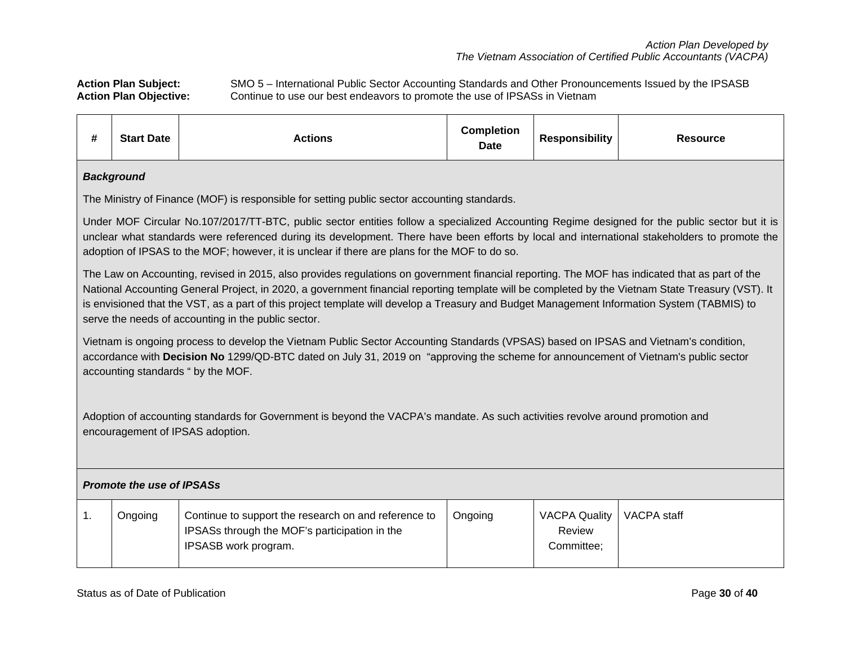Action Plan Subject: SMO 5 – International Public Sector Accounting Standards and Other Pronouncements Issued by the IPSASB<br>Action Plan Objective: Continue to use our best endeavors to promote the use of IPSASs in Vietnam Continue to use our best endeavors to promote the use of IPSASs in Vietnam

| #              | <b>Start Date</b>                                                                                                                                                                                                                                                                                                                                                                                                                                                                                         | <b>Actions</b>                                                                                                                                                                                                                                                                                                    | <b>Completion</b><br><b>Date</b> | <b>Responsibility</b>                        | <b>Resource</b> |  |  |  |  |
|----------------|-----------------------------------------------------------------------------------------------------------------------------------------------------------------------------------------------------------------------------------------------------------------------------------------------------------------------------------------------------------------------------------------------------------------------------------------------------------------------------------------------------------|-------------------------------------------------------------------------------------------------------------------------------------------------------------------------------------------------------------------------------------------------------------------------------------------------------------------|----------------------------------|----------------------------------------------|-----------------|--|--|--|--|
|                | <b>Background</b>                                                                                                                                                                                                                                                                                                                                                                                                                                                                                         |                                                                                                                                                                                                                                                                                                                   |                                  |                                              |                 |  |  |  |  |
|                |                                                                                                                                                                                                                                                                                                                                                                                                                                                                                                           | The Ministry of Finance (MOF) is responsible for setting public sector accounting standards.                                                                                                                                                                                                                      |                                  |                                              |                 |  |  |  |  |
|                | Under MOF Circular No.107/2017/TT-BTC, public sector entities follow a specialized Accounting Regime designed for the public sector but it is<br>unclear what standards were referenced during its development. There have been efforts by local and international stakeholders to promote the<br>adoption of IPSAS to the MOF; however, it is unclear if there are plans for the MOF to do so.                                                                                                           |                                                                                                                                                                                                                                                                                                                   |                                  |                                              |                 |  |  |  |  |
|                | The Law on Accounting, revised in 2015, also provides regulations on government financial reporting. The MOF has indicated that as part of the<br>National Accounting General Project, in 2020, a government financial reporting template will be completed by the Vietnam State Treasury (VST). It<br>is envisioned that the VST, as a part of this project template will develop a Treasury and Budget Management Information System (TABMIS) to<br>serve the needs of accounting in the public sector. |                                                                                                                                                                                                                                                                                                                   |                                  |                                              |                 |  |  |  |  |
|                |                                                                                                                                                                                                                                                                                                                                                                                                                                                                                                           | Vietnam is ongoing process to develop the Vietnam Public Sector Accounting Standards (VPSAS) based on IPSAS and Vietnam's condition,<br>accordance with Decision No 1299/QD-BTC dated on July 31, 2019 on "approving the scheme for announcement of Vietnam's public sector<br>accounting standards " by the MOF. |                                  |                                              |                 |  |  |  |  |
|                | Adoption of accounting standards for Government is beyond the VACPA's mandate. As such activities revolve around promotion and<br>encouragement of IPSAS adoption.                                                                                                                                                                                                                                                                                                                                        |                                                                                                                                                                                                                                                                                                                   |                                  |                                              |                 |  |  |  |  |
|                | <b>Promote the use of IPSASs</b>                                                                                                                                                                                                                                                                                                                                                                                                                                                                          |                                                                                                                                                                                                                                                                                                                   |                                  |                                              |                 |  |  |  |  |
| $\mathbf{1}$ . | Ongoing                                                                                                                                                                                                                                                                                                                                                                                                                                                                                                   | Continue to support the research on and reference to<br>IPSASs through the MOF's participation in the<br>IPSASB work program.                                                                                                                                                                                     | Ongoing                          | <b>VACPA Quality</b><br>Review<br>Committee; | VACPA staff     |  |  |  |  |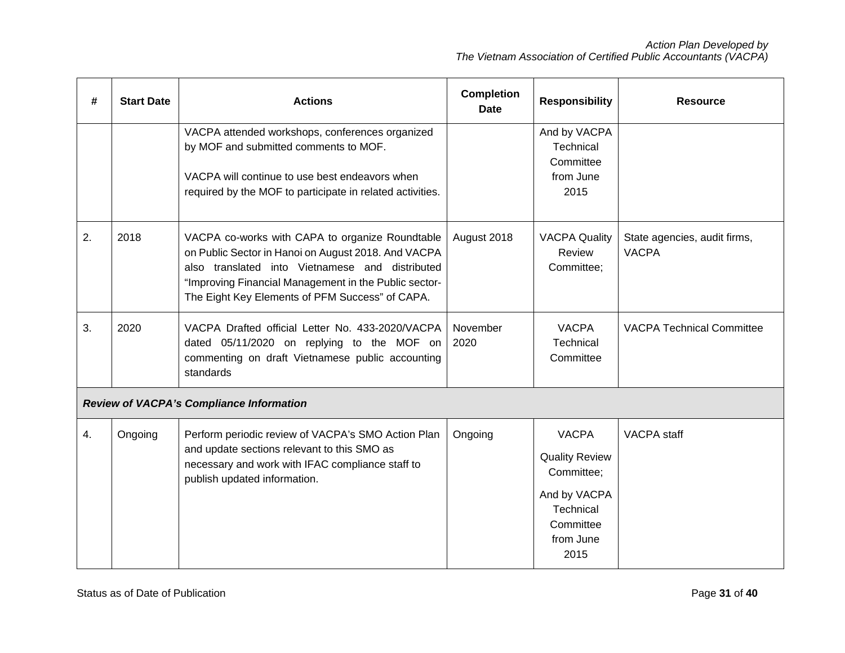| #  | <b>Start Date</b> | <b>Actions</b>                                                                                                                                                                                                                                                        | <b>Completion</b><br><b>Date</b> | <b>Responsibility</b>                                                                                              | <b>Resource</b>                              |
|----|-------------------|-----------------------------------------------------------------------------------------------------------------------------------------------------------------------------------------------------------------------------------------------------------------------|----------------------------------|--------------------------------------------------------------------------------------------------------------------|----------------------------------------------|
|    |                   | VACPA attended workshops, conferences organized<br>by MOF and submitted comments to MOF.<br>VACPA will continue to use best endeavors when<br>required by the MOF to participate in related activities.                                                               |                                  | And by VACPA<br><b>Technical</b><br>Committee<br>from June<br>2015                                                 |                                              |
| 2. | 2018              | VACPA co-works with CAPA to organize Roundtable<br>on Public Sector in Hanoi on August 2018. And VACPA<br>also translated into Vietnamese and distributed<br>"Improving Financial Management in the Public sector-<br>The Eight Key Elements of PFM Success" of CAPA. | August 2018                      | <b>VACPA Quality</b><br>Review<br>Committee;                                                                       | State agencies, audit firms,<br><b>VACPA</b> |
| 3. | 2020              | VACPA Drafted official Letter No. 433-2020/VACPA<br>dated 05/11/2020 on replying to the MOF on<br>commenting on draft Vietnamese public accounting<br>standards                                                                                                       | November<br>2020                 | <b>VACPA</b><br><b>Technical</b><br>Committee                                                                      | <b>VACPA Technical Committee</b>             |
|    |                   | <b>Review of VACPA's Compliance Information</b>                                                                                                                                                                                                                       |                                  |                                                                                                                    |                                              |
| 4. | Ongoing           | Perform periodic review of VACPA's SMO Action Plan<br>and update sections relevant to this SMO as<br>necessary and work with IFAC compliance staff to<br>publish updated information.                                                                                 | Ongoing                          | <b>VACPA</b><br><b>Quality Review</b><br>Committee;<br>And by VACPA<br>Technical<br>Committee<br>from June<br>2015 | <b>VACPA</b> staff                           |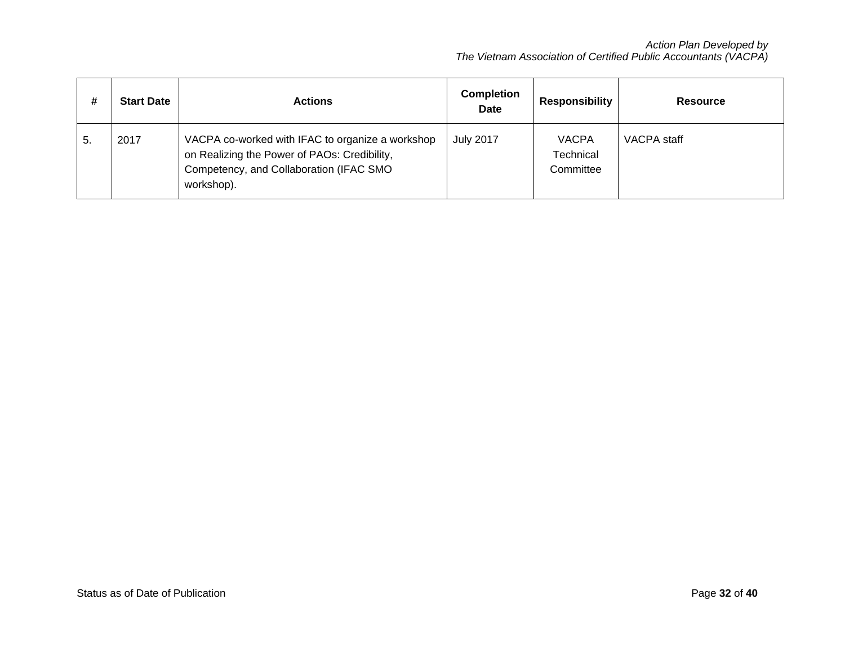| #  | <b>Start Date</b> | <b>Actions</b>                                                                                                                                            | <b>Completion</b><br><b>Date</b> | <b>Responsibility</b>                  | <b>Resource</b> |
|----|-------------------|-----------------------------------------------------------------------------------------------------------------------------------------------------------|----------------------------------|----------------------------------------|-----------------|
| 5. | 2017              | VACPA co-worked with IFAC to organize a workshop<br>on Realizing the Power of PAOs: Credibility,<br>Competency, and Collaboration (IFAC SMO<br>workshop). | <b>July 2017</b>                 | <b>VACPA</b><br>Technical<br>Committee | VACPA staff     |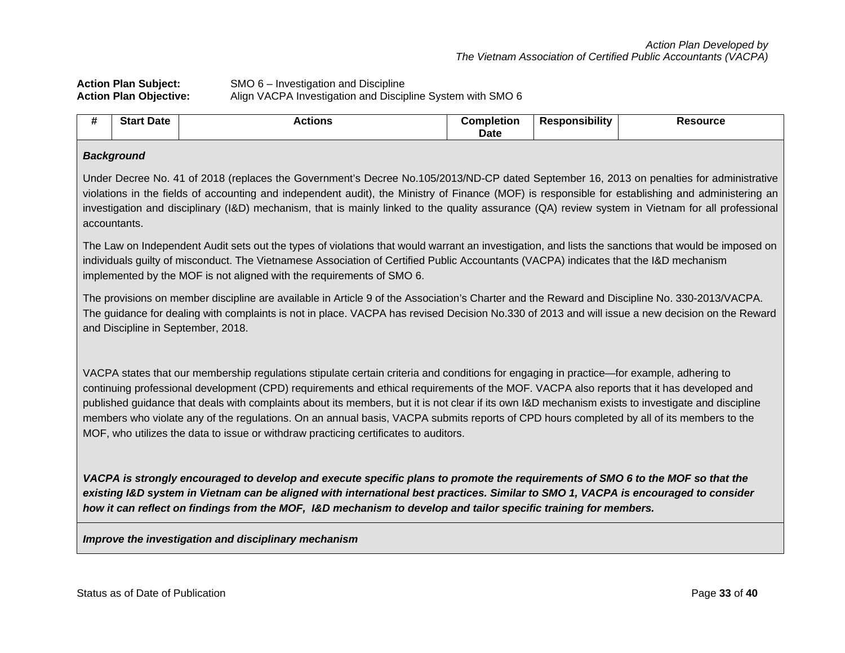# **Action Plan Subject:** SMO 6 – Investigation and Discipline<br>**Action Plan Objective:** Align VACPA Investigation and Discip Align VACPA Investigation and Discipline System with SMO 6

| #<br>π | <b>Start Date</b> | Actions | Completion<br><b>Date</b> | Responsibility | <b>Resource</b> |
|--------|-------------------|---------|---------------------------|----------------|-----------------|
|        |                   |         |                           |                |                 |

### *Background*

Under Decree No. 41 of 2018 (replaces the Government's Decree No.105/2013/ND-CP dated September 16, 2013 on penalties for administrative violations in the fields of accounting and independent audit), the Ministry of Finance (MOF) is responsible for establishing and administering an investigation and disciplinary (I&D) mechanism, that is mainly linked to the quality assurance (QA) review system in Vietnam for all professional accountants.

The Law on Independent Audit sets out the types of violations that would warrant an investigation, and lists the sanctions that would be imposed on individuals guilty of misconduct. The Vietnamese Association of Certified Public Accountants (VACPA) indicates that the I&D mechanism implemented by the MOF is not aligned with the requirements of SMO 6.

The provisions on member discipline are available in Article 9 of the Association's Charter and the Reward and Discipline No. 330-2013/VACPA. The guidance for dealing with complaints is not in place. VACPA has revised Decision No.330 of 2013 and will issue a new decision on the Reward and Discipline in September, 2018.

VACPA states that our membership regulations stipulate certain criteria and conditions for engaging in practice—for example, adhering to continuing professional development (CPD) requirements and ethical requirements of the MOF. VACPA also reports that it has developed and published guidance that deals with complaints about its members, but it is not clear if its own I&D mechanism exists to investigate and discipline members who violate any of the regulations. On an annual basis, VACPA submits reports of CPD hours completed by all of its members to the MOF, who utilizes the data to issue or withdraw practicing certificates to auditors.

*VACPA is strongly encouraged to develop and execute specific plans to promote the requirements of SMO 6 to the MOF so that the existing I&D system in Vietnam can be aligned with international best practices. Similar to SMO 1, VACPA is encouraged to consider how it can reflect on findings from the MOF, I&D mechanism to develop and tailor specific training for members.*

*Improve the investigation and disciplinary mechanism*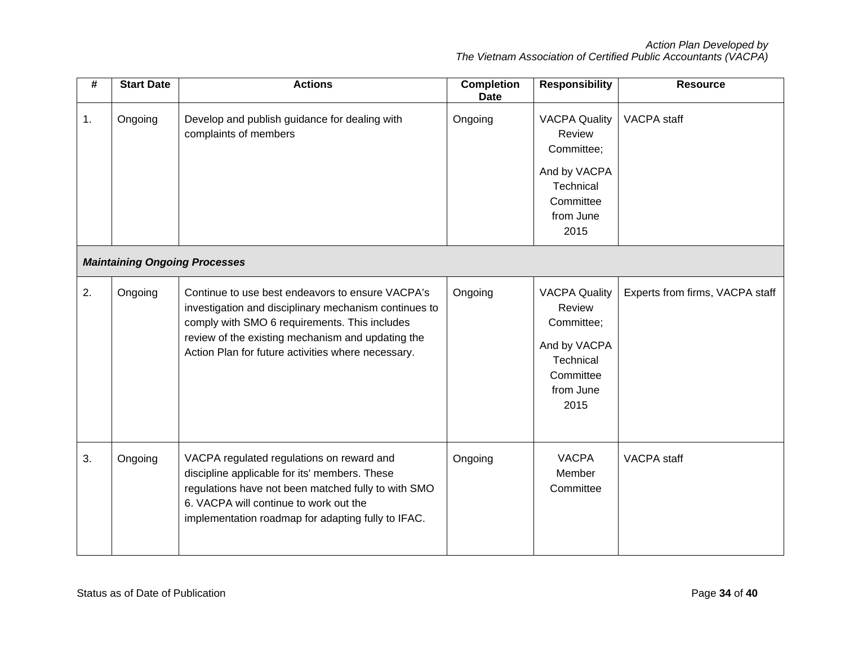| #  | <b>Start Date</b> | <b>Actions</b>                                                                                                                                                                                                                                                        | <b>Completion</b><br><b>Date</b> | <b>Responsibility</b>                                                                                              | <b>Resource</b>                 |
|----|-------------------|-----------------------------------------------------------------------------------------------------------------------------------------------------------------------------------------------------------------------------------------------------------------------|----------------------------------|--------------------------------------------------------------------------------------------------------------------|---------------------------------|
| 1. | Ongoing           | Develop and publish guidance for dealing with<br>complaints of members                                                                                                                                                                                                | Ongoing                          | <b>VACPA Quality</b><br>Review<br>Committee;<br>And by VACPA<br>Technical<br>Committee<br>from June<br>2015        | VACPA staff                     |
|    |                   | <b>Maintaining Ongoing Processes</b>                                                                                                                                                                                                                                  |                                  |                                                                                                                    |                                 |
| 2. | Ongoing           | Continue to use best endeavors to ensure VACPA's<br>investigation and disciplinary mechanism continues to<br>comply with SMO 6 requirements. This includes<br>review of the existing mechanism and updating the<br>Action Plan for future activities where necessary. | Ongoing                          | <b>VACPA Quality</b><br><b>Review</b><br>Committee;<br>And by VACPA<br>Technical<br>Committee<br>from June<br>2015 | Experts from firms, VACPA staff |
| 3. | Ongoing           | VACPA regulated regulations on reward and<br>discipline applicable for its' members. These<br>regulations have not been matched fully to with SMO<br>6. VACPA will continue to work out the<br>implementation roadmap for adapting fully to IFAC.                     | Ongoing                          | <b>VACPA</b><br>Member<br>Committee                                                                                | <b>VACPA</b> staff              |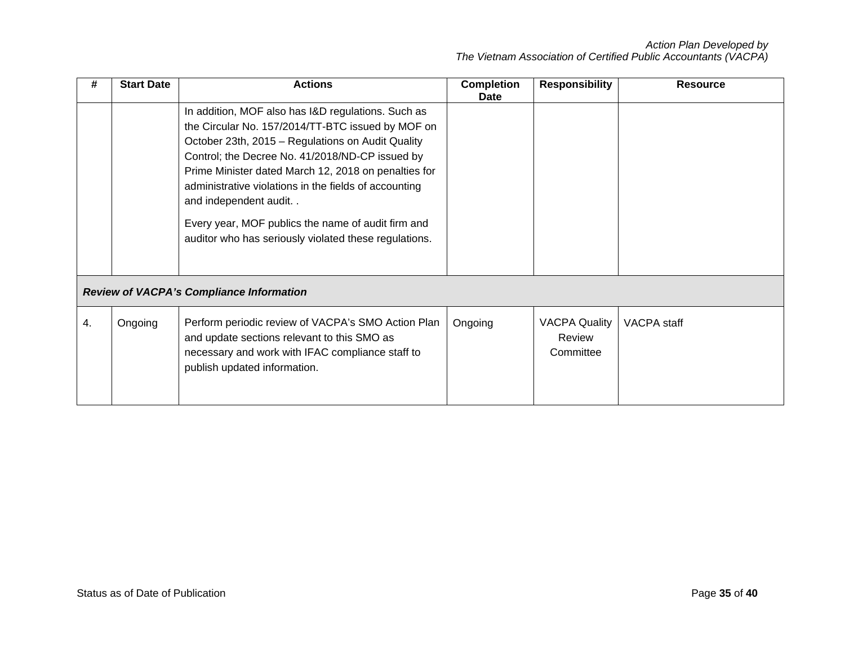| #  | <b>Start Date</b> | <b>Actions</b>                                                                                                                                                                                                                                                                                                                                                                                                                                                              | <b>Completion</b><br>Date | <b>Responsibility</b>                       | <b>Resource</b> |
|----|-------------------|-----------------------------------------------------------------------------------------------------------------------------------------------------------------------------------------------------------------------------------------------------------------------------------------------------------------------------------------------------------------------------------------------------------------------------------------------------------------------------|---------------------------|---------------------------------------------|-----------------|
|    |                   | In addition, MOF also has I&D regulations. Such as<br>the Circular No. 157/2014/TT-BTC issued by MOF on<br>October 23th, 2015 - Regulations on Audit Quality<br>Control; the Decree No. 41/2018/ND-CP issued by<br>Prime Minister dated March 12, 2018 on penalties for<br>administrative violations in the fields of accounting<br>and independent audit. .<br>Every year, MOF publics the name of audit firm and<br>auditor who has seriously violated these regulations. |                           |                                             |                 |
|    |                   | <b>Review of VACPA's Compliance Information</b>                                                                                                                                                                                                                                                                                                                                                                                                                             |                           |                                             |                 |
| 4. | Ongoing           | Perform periodic review of VACPA's SMO Action Plan<br>and update sections relevant to this SMO as<br>necessary and work with IFAC compliance staff to<br>publish updated information.                                                                                                                                                                                                                                                                                       | Ongoing                   | <b>VACPA Quality</b><br>Review<br>Committee | VACPA staff     |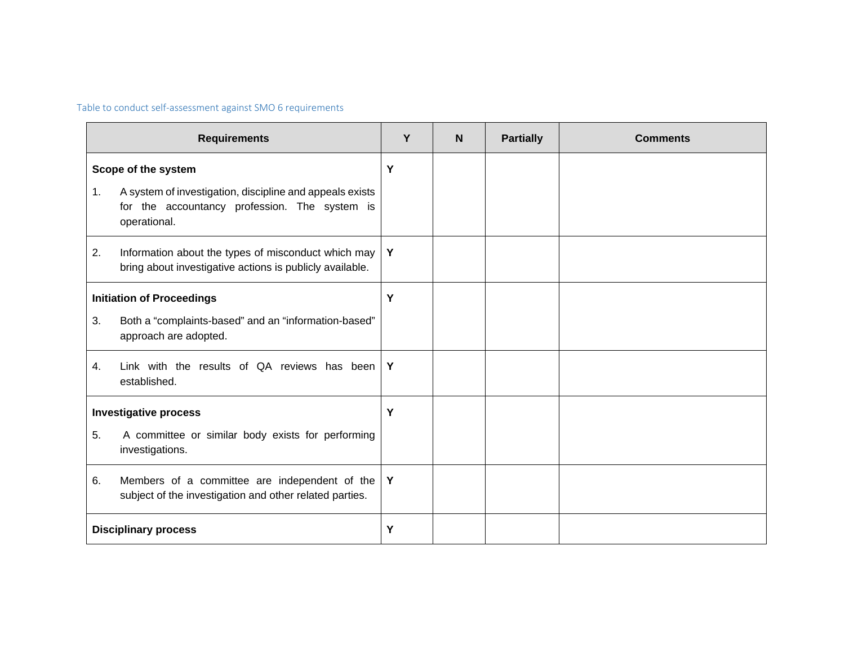Table to conduct self-assessment against SMO 6 requirements

| <b>Requirements</b> |                                                                                                                           |   | N <sub>1</sub> | <b>Partially</b> | <b>Comments</b> |
|---------------------|---------------------------------------------------------------------------------------------------------------------------|---|----------------|------------------|-----------------|
|                     | Scope of the system                                                                                                       | Y |                |                  |                 |
| 1.                  | A system of investigation, discipline and appeals exists<br>for the accountancy profession. The system is<br>operational. |   |                |                  |                 |
| 2.                  | Information about the types of misconduct which may<br>bring about investigative actions is publicly available.           | Y |                |                  |                 |
|                     | <b>Initiation of Proceedings</b>                                                                                          | Y |                |                  |                 |
| 3.                  | Both a "complaints-based" and an "information-based"<br>approach are adopted.                                             |   |                |                  |                 |
| 4.                  | Link with the results of QA reviews has been<br>established.                                                              | Y |                |                  |                 |
|                     | <b>Investigative process</b>                                                                                              | Y |                |                  |                 |
| 5.                  | A committee or similar body exists for performing<br>investigations.                                                      |   |                |                  |                 |
| 6.                  | Members of a committee are independent of the<br>subject of the investigation and other related parties.                  | Y |                |                  |                 |
|                     | <b>Disciplinary process</b>                                                                                               | Y |                |                  |                 |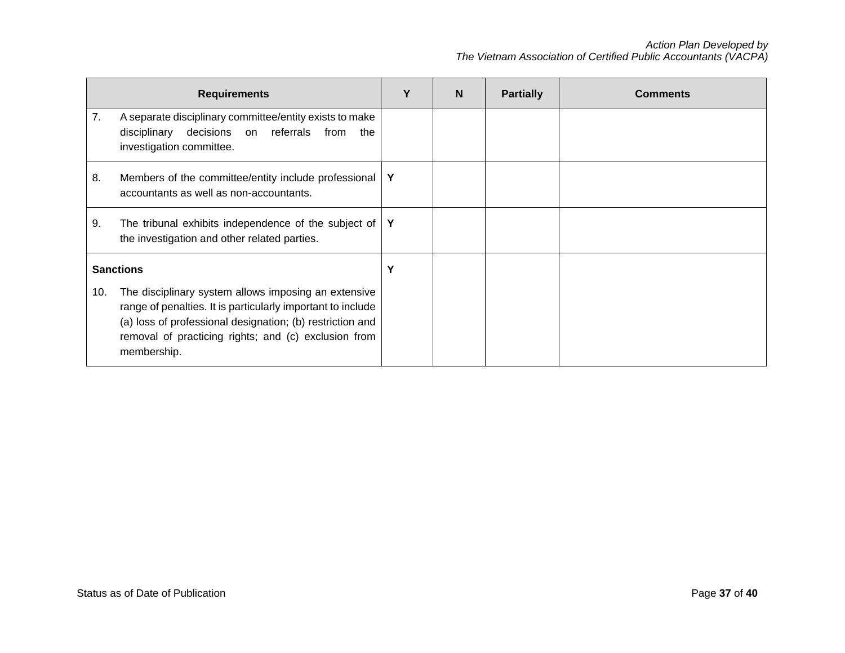| <b>Requirements</b> |                                                                                                                                                                                                                                                         |             | N | <b>Partially</b> | <b>Comments</b> |
|---------------------|---------------------------------------------------------------------------------------------------------------------------------------------------------------------------------------------------------------------------------------------------------|-------------|---|------------------|-----------------|
| 7.                  | A separate disciplinary committee/entity exists to make<br>decisions<br>on referrals<br>disciplinary<br>from<br>the<br>investigation committee.                                                                                                         |             |   |                  |                 |
| 8.                  | Members of the committee/entity include professional<br>accountants as well as non-accountants.                                                                                                                                                         | $\mathbf Y$ |   |                  |                 |
| 9.                  | The tribunal exhibits independence of the subject of<br>the investigation and other related parties.                                                                                                                                                    | Y           |   |                  |                 |
| <b>Sanctions</b>    |                                                                                                                                                                                                                                                         | Y           |   |                  |                 |
| 10.                 | The disciplinary system allows imposing an extensive<br>range of penalties. It is particularly important to include<br>(a) loss of professional designation; (b) restriction and<br>removal of practicing rights; and (c) exclusion from<br>membership. |             |   |                  |                 |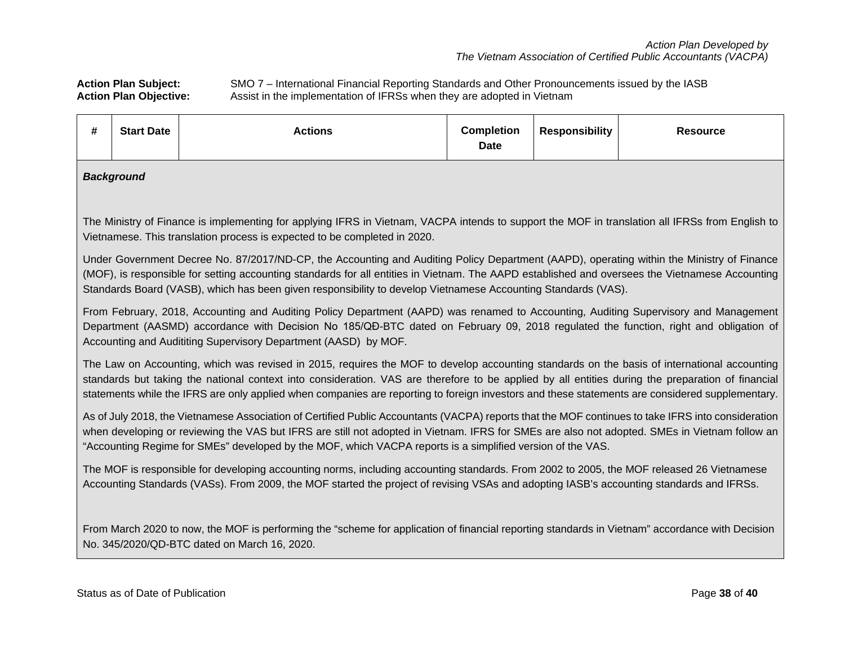Action Plan Subject: SMO 7 – International Financial Reporting Standards and Other Pronouncements issued by the IASB<br>Action Plan Objective: Assist in the implementation of IFRSs when they are adopted in Vietnam Assist in the implementation of IFRSs when they are adopted in Vietnam

| #                                                                                                                                                                                                                                                                                                                                                                                                                 | <b>Start Date</b>                                                                                                                                                                                                                                                                                                                                                                                                                                   | <b>Actions</b> | <b>Completion</b><br><b>Date</b> | <b>Responsibility</b> | <b>Resource</b> |  |  |
|-------------------------------------------------------------------------------------------------------------------------------------------------------------------------------------------------------------------------------------------------------------------------------------------------------------------------------------------------------------------------------------------------------------------|-----------------------------------------------------------------------------------------------------------------------------------------------------------------------------------------------------------------------------------------------------------------------------------------------------------------------------------------------------------------------------------------------------------------------------------------------------|----------------|----------------------------------|-----------------------|-----------------|--|--|
|                                                                                                                                                                                                                                                                                                                                                                                                                   | <b>Background</b>                                                                                                                                                                                                                                                                                                                                                                                                                                   |                |                                  |                       |                 |  |  |
|                                                                                                                                                                                                                                                                                                                                                                                                                   | The Ministry of Finance is implementing for applying IFRS in Vietnam, VACPA intends to support the MOF in translation all IFRSs from English to<br>Vietnamese. This translation process is expected to be completed in 2020.                                                                                                                                                                                                                        |                |                                  |                       |                 |  |  |
|                                                                                                                                                                                                                                                                                                                                                                                                                   | Under Government Decree No. 87/2017/ND-CP, the Accounting and Auditing Policy Department (AAPD), operating within the Ministry of Finance<br>(MOF), is responsible for setting accounting standards for all entities in Vietnam. The AAPD established and oversees the Vietnamese Accounting<br>Standards Board (VASB), which has been given responsibility to develop Vietnamese Accounting Standards (VAS).                                       |                |                                  |                       |                 |  |  |
| From February, 2018, Accounting and Auditing Policy Department (AAPD) was renamed to Accounting, Auditing Supervisory and Management<br>Department (AASMD) accordance with Decision No 185/QĐ-BTC dated on February 09, 2018 regulated the function, right and obligation of<br>Accounting and Audititing Supervisory Department (AASD) by MOF.                                                                   |                                                                                                                                                                                                                                                                                                                                                                                                                                                     |                |                                  |                       |                 |  |  |
|                                                                                                                                                                                                                                                                                                                                                                                                                   | The Law on Accounting, which was revised in 2015, requires the MOF to develop accounting standards on the basis of international accounting<br>standards but taking the national context into consideration. VAS are therefore to be applied by all entities during the preparation of financial<br>statements while the IFRS are only applied when companies are reporting to foreign investors and these statements are considered supplementary. |                |                                  |                       |                 |  |  |
| As of July 2018, the Vietnamese Association of Certified Public Accountants (VACPA) reports that the MOF continues to take IFRS into consideration<br>when developing or reviewing the VAS but IFRS are still not adopted in Vietnam. IFRS for SMEs are also not adopted. SMEs in Vietnam follow an<br>"Accounting Regime for SMEs" developed by the MOF, which VACPA reports is a simplified version of the VAS. |                                                                                                                                                                                                                                                                                                                                                                                                                                                     |                |                                  |                       |                 |  |  |
|                                                                                                                                                                                                                                                                                                                                                                                                                   | The MOF is responsible for developing accounting norms, including accounting standards. From 2002 to 2005, the MOF released 26 Vietnamese<br>Accounting Standards (VASs). From 2009, the MOF started the project of revising VSAs and adopting IASB's accounting standards and IFRSs.                                                                                                                                                               |                |                                  |                       |                 |  |  |
| From March 2020 to now, the MOF is performing the "scheme for application of financial reporting standards in Vietnam" accordance with Decision<br>No. 345/2020/QD-BTC dated on March 16, 2020.                                                                                                                                                                                                                   |                                                                                                                                                                                                                                                                                                                                                                                                                                                     |                |                                  |                       |                 |  |  |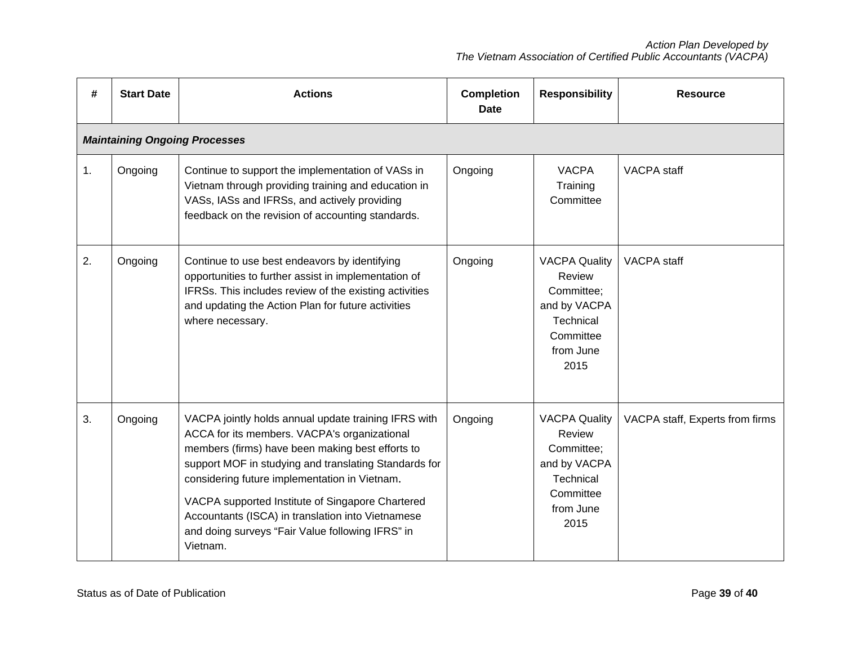| #  | <b>Start Date</b>                    | <b>Actions</b>                                                                                                                                                                                                                                                                                                                                                                                                                              | <b>Completion</b><br><b>Date</b> | <b>Responsibility</b>                                                                                       | <b>Resource</b>                 |  |  |  |
|----|--------------------------------------|---------------------------------------------------------------------------------------------------------------------------------------------------------------------------------------------------------------------------------------------------------------------------------------------------------------------------------------------------------------------------------------------------------------------------------------------|----------------------------------|-------------------------------------------------------------------------------------------------------------|---------------------------------|--|--|--|
|    | <b>Maintaining Ongoing Processes</b> |                                                                                                                                                                                                                                                                                                                                                                                                                                             |                                  |                                                                                                             |                                 |  |  |  |
| 1. | Ongoing                              | Continue to support the implementation of VASs in<br>Vietnam through providing training and education in<br>VASs, IASs and IFRSs, and actively providing<br>feedback on the revision of accounting standards.                                                                                                                                                                                                                               | Ongoing                          | <b>VACPA</b><br>Training<br>Committee                                                                       | VACPA staff                     |  |  |  |
| 2. | Ongoing                              | Continue to use best endeavors by identifying<br>opportunities to further assist in implementation of<br>IFRSs. This includes review of the existing activities<br>and updating the Action Plan for future activities<br>where necessary.                                                                                                                                                                                                   | Ongoing                          | <b>VACPA Quality</b><br>Review<br>Committee;<br>and by VACPA<br>Technical<br>Committee<br>from June<br>2015 | VACPA staff                     |  |  |  |
| 3. | Ongoing                              | VACPA jointly holds annual update training IFRS with<br>ACCA for its members. VACPA's organizational<br>members (firms) have been making best efforts to<br>support MOF in studying and translating Standards for<br>considering future implementation in Vietnam.<br>VACPA supported Institute of Singapore Chartered<br>Accountants (ISCA) in translation into Vietnamese<br>and doing surveys "Fair Value following IFRS" in<br>Vietnam. | Ongoing                          | <b>VACPA Quality</b><br>Review<br>Committee;<br>and by VACPA<br>Technical<br>Committee<br>from June<br>2015 | VACPA staff, Experts from firms |  |  |  |